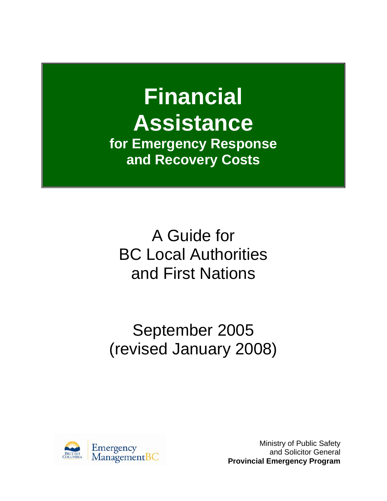# **Financial Assistance for Emergency Response and Recovery Costs**

A Guide for BC Local Authorities and First Nations

September 2005 (revised January 2008)



Ministry of Public Safety and Solicitor General **Provincial Emergency Program**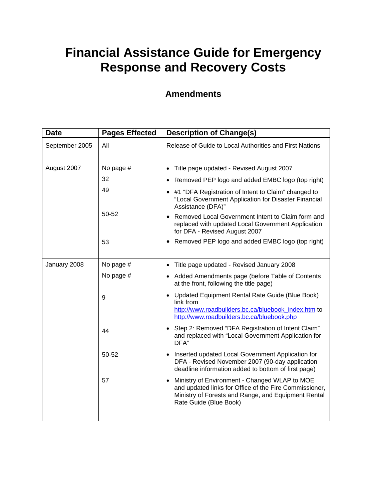# **Financial Assistance Guide for Emergency Response and Recovery Costs**

## **Amendments**

| <b>Date</b>    | <b>Pages Effected</b> | <b>Description of Change(s)</b>                                                                                                                                                               |  |
|----------------|-----------------------|-----------------------------------------------------------------------------------------------------------------------------------------------------------------------------------------------|--|
| September 2005 | All                   | Release of Guide to Local Authorities and First Nations                                                                                                                                       |  |
| August 2007    | No page #             | Title page updated - Revised August 2007<br>$\bullet$                                                                                                                                         |  |
|                | 32                    | Removed PEP logo and added EMBC logo (top right)                                                                                                                                              |  |
|                | 49                    | • #1 "DFA Registration of Intent to Claim" changed to<br>"Local Government Application for Disaster Financial<br>Assistance (DFA)"                                                            |  |
|                | 50-52                 | Removed Local Government Intent to Claim form and<br>replaced with updated Local Government Application<br>for DFA - Revised August 2007                                                      |  |
|                | 53                    | Removed PEP logo and added EMBC logo (top right)                                                                                                                                              |  |
| January 2008   | No page #             | Title page updated - Revised January 2008                                                                                                                                                     |  |
|                | No page #             | Added Amendments page (before Table of Contents<br>at the front, following the title page)                                                                                                    |  |
|                | 9                     | Updated Equipment Rental Rate Guide (Blue Book)<br>link from                                                                                                                                  |  |
|                |                       | http://www.roadbuilders.bc.ca/bluebook_index.htm to<br>http://www.roadbuilders.bc.ca/bluebook.php                                                                                             |  |
|                | 44                    | Step 2: Removed "DFA Registration of Intent Claim"<br>and replaced with "Local Government Application for<br>DFA"                                                                             |  |
|                | 50-52                 | Inserted updated Local Government Application for<br>DFA - Revised November 2007 (90-day application<br>deadline information added to bottom of first page)                                   |  |
|                | 57                    | Ministry of Environment - Changed WLAP to MOE<br>٠<br>and updated links for Office of the Fire Commissioner,<br>Ministry of Forests and Range, and Equipment Rental<br>Rate Guide (Blue Book) |  |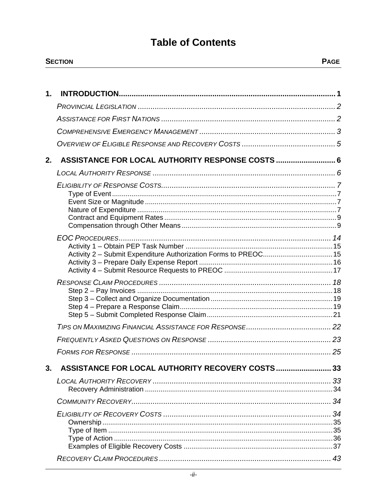# **Table of Contents**

| $\mathbf{m}$<br>SECTION<br>_______ |  |
|------------------------------------|--|
|                                    |  |

| 1. |                                                      |    |
|----|------------------------------------------------------|----|
|    |                                                      |    |
|    |                                                      |    |
|    |                                                      |    |
|    |                                                      |    |
| 2. | ASSISTANCE FOR LOCAL AUTHORITY RESPONSE COSTS  6     |    |
|    |                                                      |    |
|    |                                                      |    |
|    |                                                      |    |
|    |                                                      |    |
|    |                                                      |    |
|    |                                                      |    |
|    |                                                      |    |
|    | <b>ASSISTANCE FOR LOCAL AUTHORITY RECOVERY COSTS</b> | 33 |
|    |                                                      |    |
|    |                                                      |    |
|    |                                                      |    |
|    |                                                      |    |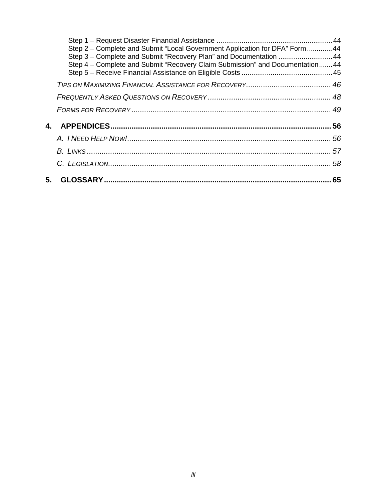| Step 2 - Complete and Submit "Local Government Application for DFA" Form  44<br>Step 3 – Complete and Submit "Recovery Plan" and Documentation 44<br>Step 4 - Complete and Submit "Recovery Claim Submission" and Documentation44 |  |
|-----------------------------------------------------------------------------------------------------------------------------------------------------------------------------------------------------------------------------------|--|
|                                                                                                                                                                                                                                   |  |
|                                                                                                                                                                                                                                   |  |
|                                                                                                                                                                                                                                   |  |
|                                                                                                                                                                                                                                   |  |
|                                                                                                                                                                                                                                   |  |
|                                                                                                                                                                                                                                   |  |
|                                                                                                                                                                                                                                   |  |
|                                                                                                                                                                                                                                   |  |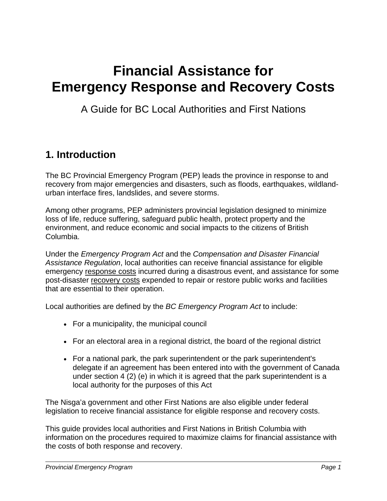# <span id="page-4-0"></span>**Financial Assistance for Emergency Response and Recovery Costs**

A Guide for BC Local Authorities and First Nations

# **1. Introduction**

The BC Provincial Emergency Program (PEP) leads the province in response to and recovery from major emergencies and disasters, such as floods, earthquakes, wildlandurban interface fires, landslides, and severe storms.

Among other programs, PEP administers provincial legislation designed to minimize loss of life, reduce suffering, safeguard public health, protect property and the environment, and reduce economic and social impacts to the citizens of British Columbia.

Under the *Emergency Program Act* and the *Compensation and Disaster Financial Assistance Regulation*, local authorities can receive financial assistance for eligible emergency response costs incurred during a disastrous event, and assistance for some post-disaster recovery costs expended to repair or restore public works and facilities that are essential to their operation.

Local authorities are defined by the *BC Emergency Program Act* to include:

- For a municipality, the municipal council
- For an electoral area in a regional district, the board of the regional district
- For a national park, the park superintendent or the park superintendent's delegate if an agreement has been entered into with the government of Canada under section 4 (2) (e) in which it is agreed that the park superintendent is a local authority for the purposes of this Act

The Nisga'a government and other First Nations are also eligible under federal legislation to receive financial assistance for eligible response and recovery costs.

This guide provides local authorities and First Nations in British Columbia with information on the procedures required to maximize claims for financial assistance with the costs of both response and recovery.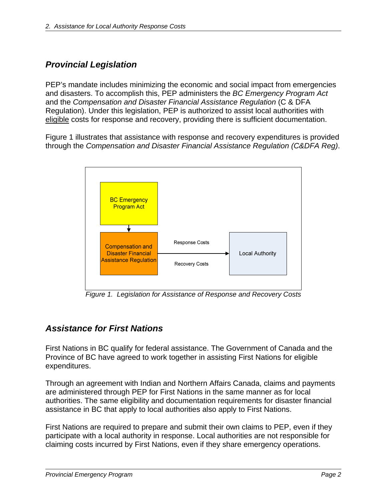## <span id="page-5-0"></span>*Provincial Legislation*

PEP's mandate includes minimizing the economic and social impact from emergencies and disasters. To accomplish this, PEP administers the *BC Emergency Program Act* and the *Compensation and Disaster Financial Assistance Regulation* (C & DFA Regulation). Under this legislation, PEP is authorized to assist local authorities with eligible costs for response and recovery, providing there is sufficient documentation.

Figure 1 illustrates that assistance with response and recovery expenditures is provided through the *Compensation and Disaster Financial Assistance Regulation (C&DFA Reg)*.



*Figure 1. Legislation for Assistance of Response and Recovery Costs* 

## *Assistance for First Nations*

First Nations in BC qualify for federal assistance. The Government of Canada and the Province of BC have agreed to work together in assisting First Nations for eligible expenditures.

Through an agreement with Indian and Northern Affairs Canada, claims and payments are administered through PEP for First Nations in the same manner as for local authorities. The same eligibility and documentation requirements for disaster financial assistance in BC that apply to local authorities also apply to First Nations.

First Nations are required to prepare and submit their own claims to PEP, even if they participate with a local authority in response. Local authorities are not responsible for claiming costs incurred by First Nations, even if they share emergency operations.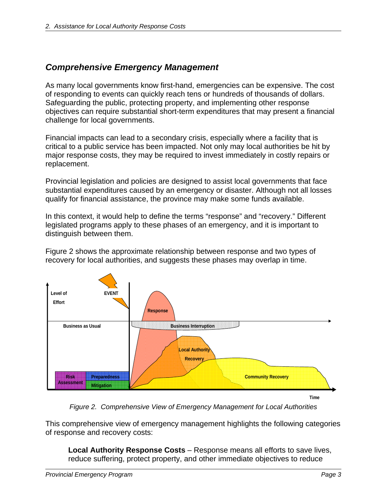## <span id="page-6-0"></span>*Comprehensive Emergency Management*

As many local governments know first-hand, emergencies can be expensive. The cost of responding to events can quickly reach tens or hundreds of thousands of dollars. Safeguarding the public, protecting property, and implementing other response objectives can require substantial short-term expenditures that may present a financial challenge for local governments.

Financial impacts can lead to a secondary crisis, especially where a facility that is critical to a public service has been impacted. Not only may local authorities be hit by major response costs, they may be required to invest immediately in costly repairs or replacement.

Provincial legislation and policies are designed to assist local governments that face substantial expenditures caused by an emergency or disaster. Although not all losses qualify for financial assistance, the province may make some funds available.

In this context, it would help to define the terms "response" and "recovery." Different legislated programs apply to these phases of an emergency, and it is important to distinguish between them.

Figure 2 shows the approximate relationship between response and two types of recovery for local authorities, and suggests these phases may overlap in time.



*Figure 2. Comprehensive View of Emergency Management for Local Authorities* 

This comprehensive view of emergency management highlights the following categories of response and recovery costs:

**Local Authority Response Costs** – Response means all efforts to save lives, reduce suffering, protect property, and other immediate objectives to reduce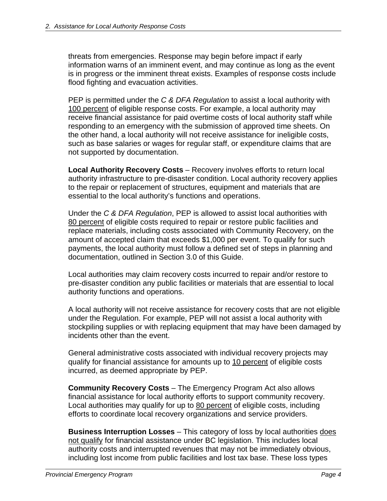threats from emergencies. Response may begin before impact if early information warns of an imminent event, and may continue as long as the event is in progress or the imminent threat exists. Examples of response costs include flood fighting and evacuation activities.

PEP is permitted under the *C & DFA Regulation* to assist a local authority with 100 percent of eligible response costs. For example, a local authority may receive financial assistance for paid overtime costs of local authority staff while responding to an emergency with the submission of approved time sheets. On the other hand, a local authority will not receive assistance for ineligible costs, such as base salaries or wages for regular staff, or expenditure claims that are not supported by documentation.

**Local Authority Recovery Costs** – Recovery involves efforts to return local authority infrastructure to pre-disaster condition. Local authority recovery applies to the repair or replacement of structures, equipment and materials that are essential to the local authority's functions and operations.

Under the *C & DFA Regulation*, PEP is allowed to assist local authorities with 80 percent of eligible costs required to repair or restore public facilities and replace materials, including costs associated with Community Recovery, on the amount of accepted claim that exceeds \$1,000 per event. To qualify for such payments, the local authority must follow a defined set of steps in planning and documentation, outlined in Section 3.0 of this Guide.

Local authorities may claim recovery costs incurred to repair and/or restore to pre-disaster condition any public facilities or materials that are essential to local authority functions and operations.

A local authority will not receive assistance for recovery costs that are not eligible under the Regulation. For example, PEP will not assist a local authority with stockpiling supplies or with replacing equipment that may have been damaged by incidents other than the event.

General administrative costs associated with individual recovery projects may qualify for financial assistance for amounts up to 10 percent of eligible costs incurred, as deemed appropriate by PEP.

**Community Recovery Costs** – The Emergency Program Act also allows financial assistance for local authority efforts to support community recovery. Local authorities may qualify for up to 80 percent of eligible costs, including efforts to coordinate local recovery organizations and service providers.

**Business Interruption Losses** – This category of loss by local authorities does not qualify for financial assistance under BC legislation. This includes local authority costs and interrupted revenues that may not be immediately obvious, including lost income from public facilities and lost tax base. These loss types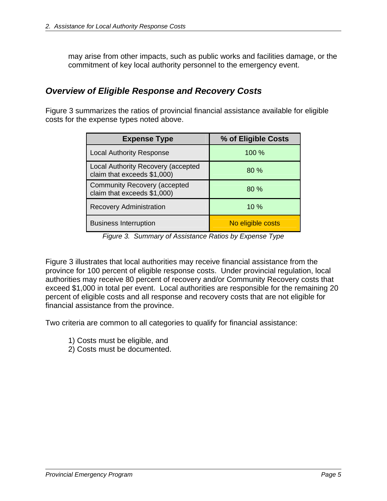<span id="page-8-0"></span>may arise from other impacts, such as public works and facilities damage, or the commitment of key local authority personnel to the emergency event.

## *Overview of Eligible Response and Recovery Costs*

Figure 3 summarizes the ratios of provincial financial assistance available for eligible costs for the expense types noted above.

| <b>Expense Type</b>                                               | % of Eligible Costs |  |
|-------------------------------------------------------------------|---------------------|--|
| <b>Local Authority Response</b>                                   | $100\%$             |  |
| Local Authority Recovery (accepted<br>claim that exceeds \$1,000) | 80%                 |  |
| Community Recovery (accepted<br>claim that exceeds \$1,000)       | 80%                 |  |
| <b>Recovery Administration</b>                                    | $10\%$              |  |
| <b>Business Interruption</b>                                      | No eligible costs   |  |

*Figure 3. Summary of Assistance Ratios by Expense Type* 

Figure 3 illustrates that local authorities may receive financial assistance from the province for 100 percent of eligible response costs. Under provincial regulation, local authorities may receive 80 percent of recovery and/or Community Recovery costs that exceed \$1,000 in total per event. Local authorities are responsible for the remaining 20 percent of eligible costs and all response and recovery costs that are not eligible for financial assistance from the province.

Two criteria are common to all categories to qualify for financial assistance:

- 1) Costs must be eligible, and
- 2) Costs must be documented.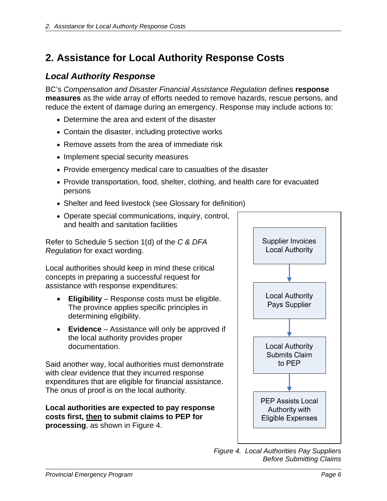# <span id="page-9-0"></span>**2. Assistance for Local Authority Response Costs**

## *Local Authority Response*

BC's *Compensation and Disaster Financial Assistance Regulation* defines **response measures** as the wide array of efforts needed to remove hazards, rescue persons, and reduce the extent of damage during an emergency. Response may include actions to:

- Determine the area and extent of the disaster
- Contain the disaster, including protective works
- Remove assets from the area of immediate risk
- Implement special security measures
- Provide emergency medical care to casualties of the disaster
- Provide transportation, food, shelter, clothing, and health care for evacuated persons
- Shelter and feed livestock (see Glossary for definition)
- Operate special communications, inquiry, control, and health and sanitation facilities

Refer to Schedule 5 section 1(d) of the *C & DFA Regulation* for exact wording.

Local authorities should keep in mind these critical concepts in preparing a successful request for assistance with response expenditures:

- **Eligibility** Response costs must be eligible. The province applies specific principles in determining eligibility.
- **Evidence** Assistance will only be approved if the local authority provides proper documentation.

Said another way, local authorities must demonstrate with clear evidence that they incurred response expenditures that are eligible for financial assistance. The onus of proof is on the local authority.

**Local authorities are expected to pay response costs first, then to submit claims to PEP for processing**, as shown in Figure 4.



*Figure 4. Local Authorities Pay Suppliers Before Submitting Claims*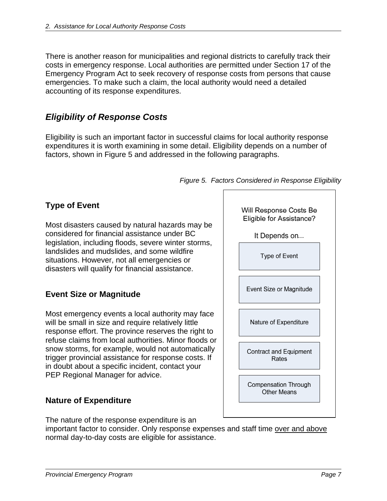<span id="page-10-0"></span>There is another reason for municipalities and regional districts to carefully track their costs in emergency response. Local authorities are permitted under Section 17 of the Emergency Program Act to seek recovery of response costs from persons that cause emergencies. To make such a claim, the local authority would need a detailed accounting of its response expenditures.

## *Eligibility of Response Costs*

Eligibility is such an important factor in successful claims for local authority response expenditures it is worth examining in some detail. Eligibility depends on a number of factors, shown in Figure 5 and addressed in the following paragraphs.

# Will Response Costs Be Eligible for Assistance? It Depends on... Type of Event Event Size or Magnitude Nature of Expenditure Contract and Equipment Rates Compensation Through **Other Means**

*Figure 5. Factors Considered in Response Eligibility* 

## **Type of Event**

Most disasters caused by natural hazards may be considered for financial assistance under BC legislation, including floods, severe winter storms, landslides and mudslides, and some wildfire situations. However, not all emergencies or disasters will qualify for financial assistance.

## **Event Size or Magnitude**

Most emergency events a local authority may face will be small in size and require relatively little response effort. The province reserves the right to refuse claims from local authorities. Minor floods or snow storms, for example, would not automatically trigger provincial assistance for response costs. If in doubt about a specific incident, contact your PEP Regional Manager for advice.

## **Nature of Expenditure**

The nature of the response expenditure is an

important factor to consider. Only response expenses and staff time over and above normal day-to-day costs are eligible for assistance.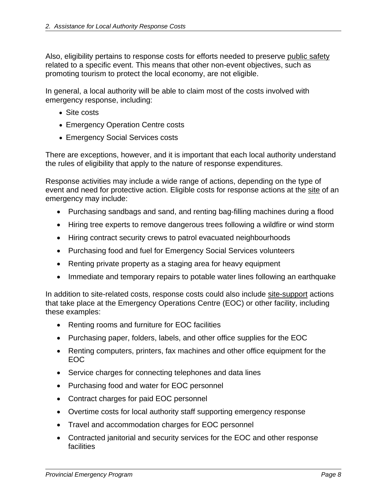Also, eligibility pertains to response costs for efforts needed to preserve public safety related to a specific event. This means that other non-event objectives, such as promoting tourism to protect the local economy, are not eligible.

In general, a local authority will be able to claim most of the costs involved with emergency response, including:

- Site costs
- Emergency Operation Centre costs
- Emergency Social Services costs

There are exceptions, however, and it is important that each local authority understand the rules of eligibility that apply to the nature of response expenditures.

Response activities may include a wide range of actions, depending on the type of event and need for protective action. Eligible costs for response actions at the site of an emergency may include:

- Purchasing sandbags and sand, and renting bag-filling machines during a flood
- Hiring tree experts to remove dangerous trees following a wildfire or wind storm
- Hiring contract security crews to patrol evacuated neighbourhoods
- Purchasing food and fuel for Emergency Social Services volunteers
- Renting private property as a staging area for heavy equipment
- Immediate and temporary repairs to potable water lines following an earthquake

In addition to site-related costs, response costs could also include site-support actions that take place at the Emergency Operations Centre (EOC) or other facility, including these examples:

- Renting rooms and furniture for EOC facilities
- Purchasing paper, folders, labels, and other office supplies for the EOC
- Renting computers, printers, fax machines and other office equipment for the EOC
- Service charges for connecting telephones and data lines
- Purchasing food and water for EOC personnel
- Contract charges for paid EOC personnel
- Overtime costs for local authority staff supporting emergency response
- Travel and accommodation charges for EOC personnel
- Contracted janitorial and security services for the EOC and other response **facilities**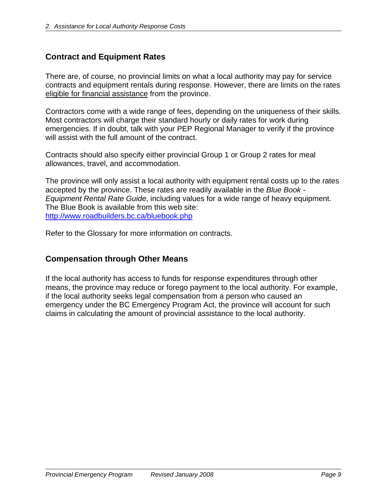## <span id="page-12-0"></span>**Contract and Equipment Rates**

There are, of course, no provincial limits on what a local authority may pay for service contracts and equipment rentals during response. However, there are limits on the rates eligible for financial assistance from the province.

Contractors come with a wide range of fees, depending on the uniqueness of their skills. Most contractors will charge their standard hourly or daily rates for work during emergencies. If in doubt, talk with your PEP Regional Manager to verify if the province will assist with the full amount of the contract.

Contracts should also specify either provincial Group 1 or Group 2 rates for meal allowances, travel, and accommodation.

The province will only assist a local authority with equipment rental costs up to the rates accepted by the province. These rates are readily available in the *Blue Book - Equipment Rental Rate Guide*, including values for a wide range of heavy equipment. The Blue Book is available from this web site: <http://www.roadbuilders.bc.ca/bluebook.php>

Refer to the Glossary for more information on contracts.

## **Compensation through Other Means**

If the local authority has access to funds for response expenditures through other means, the province may reduce or forego payment to the local authority. For example, if the local authority seeks legal compensation from a person who caused an emergency under the BC Emergency Program Act, the province will account for such claims in calculating the amount of provincial assistance to the local authority.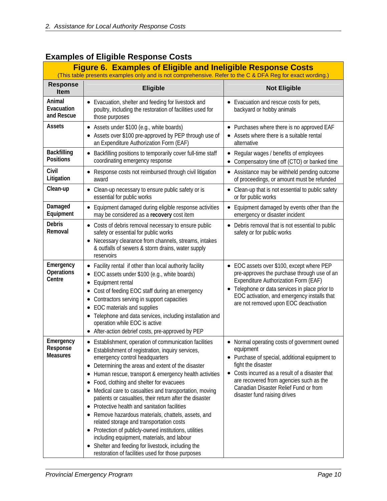| <b>Figure 6. Examples of Eligible and Ineligible Response Costs</b><br>(This table presents examples only and is not comprehensive. Refer to the C & DFA Reg for exact wording.) |                                                                                                                                                                                                                                                                                                                                                                                                                                                                                                                                                                                                                                                                                                                                                                                                                      |                                                                                                                                                                                                                                                                                                          |  |  |
|----------------------------------------------------------------------------------------------------------------------------------------------------------------------------------|----------------------------------------------------------------------------------------------------------------------------------------------------------------------------------------------------------------------------------------------------------------------------------------------------------------------------------------------------------------------------------------------------------------------------------------------------------------------------------------------------------------------------------------------------------------------------------------------------------------------------------------------------------------------------------------------------------------------------------------------------------------------------------------------------------------------|----------------------------------------------------------------------------------------------------------------------------------------------------------------------------------------------------------------------------------------------------------------------------------------------------------|--|--|
| <b>Response</b><br><b>Item</b>                                                                                                                                                   | <b>Eligible</b><br><b>Not Eligible</b>                                                                                                                                                                                                                                                                                                                                                                                                                                                                                                                                                                                                                                                                                                                                                                               |                                                                                                                                                                                                                                                                                                          |  |  |
| Animal<br>Evacuation<br>and Rescue                                                                                                                                               | • Evacuation, shelter and feeding for livestock and<br>poultry, including the restoration of facilities used for<br>those purposes                                                                                                                                                                                                                                                                                                                                                                                                                                                                                                                                                                                                                                                                                   | • Evacuation and rescue costs for pets,<br>backyard or hobby animals                                                                                                                                                                                                                                     |  |  |
| <b>Assets</b>                                                                                                                                                                    | • Assets under \$100 (e.g., white boards)<br>• Assets over \$100 pre-approved by PEP through use of<br>an Expenditure Authorization Form (EAF)                                                                                                                                                                                                                                                                                                                                                                                                                                                                                                                                                                                                                                                                       | • Purchases where there is no approved EAF<br>• Assets where there is a suitable rental<br>alternative                                                                                                                                                                                                   |  |  |
| <b>Backfilling</b><br><b>Positions</b>                                                                                                                                           | Backfilling positions to temporarily cover full-time staff<br>٠<br>coordinating emergency response                                                                                                                                                                                                                                                                                                                                                                                                                                                                                                                                                                                                                                                                                                                   | Regular wages / benefits of employees<br>٠<br>Compensatory time off (CTO) or banked time<br>$\bullet$                                                                                                                                                                                                    |  |  |
| Civil<br>Litigation                                                                                                                                                              | • Response costs not reimbursed through civil litigation<br>award                                                                                                                                                                                                                                                                                                                                                                                                                                                                                                                                                                                                                                                                                                                                                    | • Assistance may be withheld pending outcome<br>of proceedings, or amount must be refunded                                                                                                                                                                                                               |  |  |
| Clean-up                                                                                                                                                                         | • Clean-up necessary to ensure public safety or is<br>essential for public works                                                                                                                                                                                                                                                                                                                                                                                                                                                                                                                                                                                                                                                                                                                                     | • Clean-up that is not essential to public safety<br>or for public works                                                                                                                                                                                                                                 |  |  |
| Damaged<br>Equipment                                                                                                                                                             | Equipment damaged during eligible response activities<br>may be considered as a recovery cost item                                                                                                                                                                                                                                                                                                                                                                                                                                                                                                                                                                                                                                                                                                                   | Equipment damaged by events other than the<br>$\bullet$<br>emergency or disaster incident                                                                                                                                                                                                                |  |  |
| <b>Debris</b><br>Removal                                                                                                                                                         | • Costs of debris removal necessary to ensure public<br>safety or essential for public works<br>Necessary clearance from channels, streams, intakes<br>& outfalls of sewers & storm drains, water supply<br>reservoirs                                                                                                                                                                                                                                                                                                                                                                                                                                                                                                                                                                                               | Debris removal that is not essential to public<br>safety or for public works                                                                                                                                                                                                                             |  |  |
| Emergency<br>Operations<br>Centre                                                                                                                                                | • Facility rental if other than local authority facility<br>EOC assets under \$100 (e.g., white boards)<br>Equipment rental<br>٠<br>Cost of feeding EOC staff during an emergency<br>Contractors serving in support capacities<br>٠<br>EOC materials and supplies<br>$\bullet$<br>Telephone and data services, including installation and<br>٠<br>operation while EOC is active<br>• After-action debrief costs, pre-approved by PEP                                                                                                                                                                                                                                                                                                                                                                                 | • EOC assets over \$100, except where PEP<br>pre-approves the purchase through use of an<br>Expenditure Authorization Form (EAF)<br>Telephone or data services in place prior to<br>EOC activation, and emergency installs that<br>are not removed upon EOC deactivation                                 |  |  |
| Emergency<br>Response<br><b>Measures</b>                                                                                                                                         | • Establishment, operation of communication facilities<br>• Establishment of registration, inquiry services,<br>emergency control headquarters<br>Determining the areas and extent of the disaster<br>٠<br>Human rescue, transport & emergency health activities<br>Food, clothing and shelter for evacuees<br>٠<br>Medical care to casualties and transportation, moving<br>patients or casualties, their return after the disaster<br>Protective health and sanitation facilities<br>٠<br>Remove hazardous materials, chattels, assets, and<br>٠<br>related storage and transportation costs<br>• Protection of publicly-owned institutions, utilities<br>including equipment, materials, and labour<br>Shelter and feeding for livestock, including the<br>٠<br>restoration of facilities used for those purposes | • Normal operating costs of government owned<br>equipment<br>• Purchase of special, additional equipment to<br>fight the disaster<br>• Costs incurred as a result of a disaster that<br>are recovered from agencies such as the<br>Canadian Disaster Relief Fund or from<br>disaster fund raising drives |  |  |

## **Examples of Eligible Response Costs**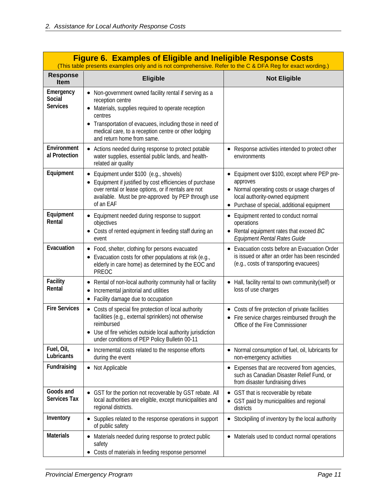| <b>Figure 6. Examples of Eligible and Ineligible Response Costs</b><br>(This table presents examples only and is not comprehensive. Refer to the C & DFA Reg for exact wording.) |                                                                                                                                                                                                                                                                                                                                                                                                                                                        |                                                                                                                                         |  |  |
|----------------------------------------------------------------------------------------------------------------------------------------------------------------------------------|--------------------------------------------------------------------------------------------------------------------------------------------------------------------------------------------------------------------------------------------------------------------------------------------------------------------------------------------------------------------------------------------------------------------------------------------------------|-----------------------------------------------------------------------------------------------------------------------------------------|--|--|
| <b>Response</b><br><b>Item</b>                                                                                                                                                   | <b>Eligible</b><br><b>Not Eligible</b>                                                                                                                                                                                                                                                                                                                                                                                                                 |                                                                                                                                         |  |  |
| Emergency<br>Social<br><b>Services</b>                                                                                                                                           | • Non-government owned facility rental if serving as a<br>reception centre<br>Materials, supplies required to operate reception<br>٠<br>centres<br>Transportation of evacuees, including those in need of<br>٠<br>medical care, to a reception centre or other lodging<br>and return home from same.                                                                                                                                                   |                                                                                                                                         |  |  |
| Environment<br>al Protection                                                                                                                                                     | • Actions needed during response to protect potable<br>water supplies, essential public lands, and health-<br>related air quality                                                                                                                                                                                                                                                                                                                      | • Response activities intended to protect other<br>environments                                                                         |  |  |
| Equipment                                                                                                                                                                        | Equipment over \$100, except where PEP pre-<br>Equipment under \$100 (e.g., shovels)<br>٠<br>$\bullet$<br>approves<br>Equipment if justified by cost efficiencies of purchase<br>$\bullet$<br>over rental or lease options, or if rentals are not<br>• Normal operating costs or usage charges of<br>available. Must be pre-approved by PEP through use<br>local authority-owned equipment<br>of an EAF<br>• Purchase of special, additional equipment |                                                                                                                                         |  |  |
| Equipment<br>Rental                                                                                                                                                              | Equipment needed during response to support<br>Equipment rented to conduct normal<br>٠<br>$\bullet$<br>operations<br>objectives<br>Costs of rented equipment in feeding staff during an<br>Rental equipment rates that exceed BC<br>Equipment Rental Rates Guide<br>event                                                                                                                                                                              |                                                                                                                                         |  |  |
| Evacuation                                                                                                                                                                       | • Food, shelter, clothing for persons evacuated<br>Evacuation costs for other populations at risk (e.g.,<br>٠<br>elderly in care home) as determined by the EOC and<br>PREOC                                                                                                                                                                                                                                                                           | Evacuation costs before an Evacuation Order<br>is issued or after an order has been rescinded<br>(e.g., costs of transporting evacuees) |  |  |
| Facility<br>Rental                                                                                                                                                               | Rental of non-local authority community hall or facility<br>Incremental janitorial and utilities<br>Facility damage due to occupation<br>٠                                                                                                                                                                                                                                                                                                             | • Hall, facility rental to own community (self) or<br>loss of use charges                                                               |  |  |
| <b>Fire Services</b>                                                                                                                                                             | Costs of special fire protection of local authority<br>$\bullet$<br>facilities (e.g., external sprinklers) not otherwise<br>reimbursed<br>Use of fire vehicles outside local authority jurisdiction<br>٠<br>under conditions of PEP Policy Bulletin 00-11                                                                                                                                                                                              | Costs of fire protection of private facilities<br>• Fire service charges reimbursed through the<br>Office of the Fire Commissioner      |  |  |
| Fuel, Oil,<br>Lubricants                                                                                                                                                         | Incremental costs related to the response efforts<br>during the event                                                                                                                                                                                                                                                                                                                                                                                  | Normal consumption of fuel, oil, lubricants for<br>non-emergency activities                                                             |  |  |
| Fundraising                                                                                                                                                                      | Not Applicable<br>Expenses that are recovered from agencies,<br>٠<br>such as Canadian Disaster Relief Fund, or<br>from disaster fundraising drives                                                                                                                                                                                                                                                                                                     |                                                                                                                                         |  |  |
| Goods and<br>Services Tax                                                                                                                                                        | GST for the portion not recoverable by GST rebate. All<br>GST that is recoverable by rebate<br>٠<br>$\bullet$<br>local authorities are eligible, except municipalities and<br>• GST paid by municipalities and regional<br>regional districts.<br>districts                                                                                                                                                                                            |                                                                                                                                         |  |  |
| Inventory                                                                                                                                                                        | Supplies related to the response operations in support<br>٠<br>of public safety                                                                                                                                                                                                                                                                                                                                                                        | Stockpiling of inventory by the local authority<br>٠                                                                                    |  |  |
| Materials                                                                                                                                                                        | Materials needed during response to protect public<br>٠<br>safety<br>Costs of materials in feeding response personnel                                                                                                                                                                                                                                                                                                                                  | Materials used to conduct normal operations<br>$\bullet$                                                                                |  |  |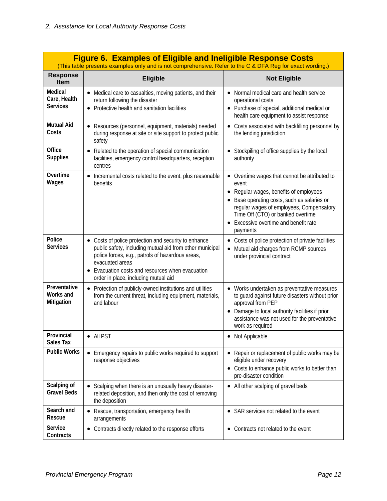| <b>Figure 6. Examples of Eligible and Ineligible Response Costs</b><br>(This table presents examples only and is not comprehensive. Refer to the C & DFA Reg for exact wording.) |                                                                                                                                                                                                                                                                                   |                                                                                                                                                                                                                                                                                 |  |  |  |
|----------------------------------------------------------------------------------------------------------------------------------------------------------------------------------|-----------------------------------------------------------------------------------------------------------------------------------------------------------------------------------------------------------------------------------------------------------------------------------|---------------------------------------------------------------------------------------------------------------------------------------------------------------------------------------------------------------------------------------------------------------------------------|--|--|--|
| <b>Response</b><br><b>Item</b>                                                                                                                                                   | <b>Not Eligible</b><br><b>Eligible</b>                                                                                                                                                                                                                                            |                                                                                                                                                                                                                                                                                 |  |  |  |
| Medical<br>Care, Health<br><b>Services</b>                                                                                                                                       | • Medical care to casualties, moving patients, and their<br>return following the disaster<br>• Protective health and sanitation facilities                                                                                                                                        | Normal medical care and health service<br>operational costs<br>• Purchase of special, additional medical or<br>health care equipment to assist response                                                                                                                         |  |  |  |
| <b>Mutual Aid</b><br>Costs                                                                                                                                                       | • Resources (personnel, equipment, materials) needed<br>during response at site or site support to protect public<br>safety                                                                                                                                                       | • Costs associated with backfilling personnel by<br>the lending jurisdiction                                                                                                                                                                                                    |  |  |  |
| Office<br><b>Supplies</b>                                                                                                                                                        | Related to the operation of special communication<br>$\bullet$<br>facilities, emergency control headquarters, reception<br>centres                                                                                                                                                | Stockpiling of office supplies by the local<br>authority                                                                                                                                                                                                                        |  |  |  |
| Overtime<br>Wages                                                                                                                                                                | Incremental costs related to the event, plus reasonable<br>٠<br>benefits                                                                                                                                                                                                          | • Overtime wages that cannot be attributed to<br>event<br>Regular wages, benefits of employees<br>Base operating costs, such as salaries or<br>regular wages of employees, Compensatory<br>Time Off (CTO) or banked overtime<br>Excessive overtime and benefit rate<br>payments |  |  |  |
| Police<br><b>Services</b>                                                                                                                                                        | • Costs of police protection and security to enhance<br>public safety, including mutual aid from other municipal<br>police forces, e.g., patrols of hazardous areas,<br>evacuated areas<br>Evacuation costs and resources when evacuation<br>order in place, including mutual aid | • Costs of police protection of private facilities<br>Mutual aid charges from RCMP sources<br>under provincial contract                                                                                                                                                         |  |  |  |
| Preventative<br>Works and<br>Mitigation                                                                                                                                          | Protection of publicly-owned institutions and utilities<br>$\bullet$<br>from the current threat, including equipment, materials,<br>and labour                                                                                                                                    | • Works undertaken as preventative measures<br>to guard against future disasters without prior<br>approval from PEP<br>Damage to local authority facilities if prior<br>$\bullet$<br>assistance was not used for the preventative<br>work as required                           |  |  |  |
| Provincial<br><b>Sales Tax</b>                                                                                                                                                   | $\bullet$ All PST                                                                                                                                                                                                                                                                 | Not Applicable                                                                                                                                                                                                                                                                  |  |  |  |
| <b>Public Works</b>                                                                                                                                                              | Emergency repairs to public works required to support<br>$\bullet$<br>response objectives                                                                                                                                                                                         | Repair or replacement of public works may be<br>eligible under recovery<br>• Costs to enhance public works to better than<br>pre-disaster condition                                                                                                                             |  |  |  |
| Scalping of<br><b>Gravel Beds</b>                                                                                                                                                | • Scalping when there is an unusually heavy disaster-<br>related deposition, and then only the cost of removing<br>the deposition                                                                                                                                                 | • All other scalping of gravel beds                                                                                                                                                                                                                                             |  |  |  |
| Search and<br>Rescue                                                                                                                                                             | Rescue, transportation, emergency health<br>٠<br>arrangements                                                                                                                                                                                                                     | • SAR services not related to the event                                                                                                                                                                                                                                         |  |  |  |
| Service<br>Contracts                                                                                                                                                             | Contracts directly related to the response efforts<br>$\bullet$                                                                                                                                                                                                                   | • Contracts not related to the event                                                                                                                                                                                                                                            |  |  |  |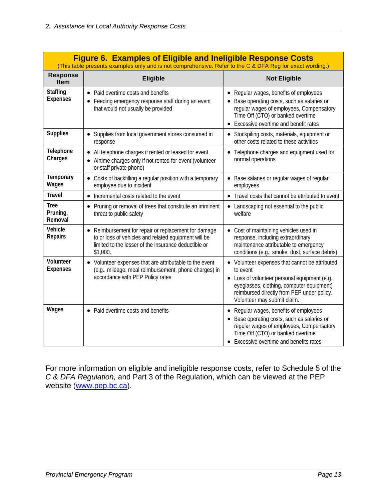|                                    | <b>Figure 6. Examples of Eligible and Ineligible Response Costs</b><br>(This table presents examples only and is not comprehensive. Refer to the C & DFA Reg for exact wording.)            |                                                                                                                                                                                                                                       |  |  |  |
|------------------------------------|---------------------------------------------------------------------------------------------------------------------------------------------------------------------------------------------|---------------------------------------------------------------------------------------------------------------------------------------------------------------------------------------------------------------------------------------|--|--|--|
| <b>Response</b><br><b>Item</b>     | <b>Eligible</b>                                                                                                                                                                             | <b>Not Eligible</b>                                                                                                                                                                                                                   |  |  |  |
| <b>Staffing</b><br><b>Expenses</b> | • Paid overtime costs and benefits<br>• Feeding emergency response staff during an event<br>that would not usually be provided                                                              | • Regular wages, benefits of employees<br>Base operating costs, such as salaries or<br>regular wages of employees, Compensatory<br>Time Off (CTO) or banked overtime<br>Excessive overtime and benefit rates                          |  |  |  |
| <b>Supplies</b>                    | • Supplies from local government stores consumed in<br>response                                                                                                                             | • Stockpiling costs, materials, equipment or<br>other costs related to these activities                                                                                                                                               |  |  |  |
| Telephone<br>Charges               | • All telephone charges if rented or leased for event<br>Airtime charges only if not rented for event (volunteer<br>or staff private phone)                                                 | • Telephone charges and equipment used for<br>normal operations                                                                                                                                                                       |  |  |  |
| Temporary<br>Wages                 | Costs of backfilling a regular position with a temporary<br>employee due to incident                                                                                                        | Base salaries or regular wages of regular<br>employees                                                                                                                                                                                |  |  |  |
| <b>Travel</b>                      | Incremental costs related to the event<br>$\bullet$                                                                                                                                         | • Travel costs that cannot be attributed to event                                                                                                                                                                                     |  |  |  |
| <b>Tree</b><br>Pruning,<br>Removal | Pruning or removal of trees that constitute an imminent<br>٠<br>threat to public safety                                                                                                     | • Landscaping not essential to the public<br>welfare                                                                                                                                                                                  |  |  |  |
| Vehicle<br>Repairs                 | Reimbursement for repair or replacement for damage<br>$\bullet$<br>to or loss of vehicles and related equipment will be<br>limited to the lesser of the insurance deductible or<br>\$1,000. | • Cost of maintaining vehicles used in<br>response, including extraordinary<br>maintenance attributable to emergency<br>conditions (e.g., smoke, dust, surface debris)                                                                |  |  |  |
| Volunteer<br><b>Expenses</b>       | • Volunteer expenses that are attributable to the event<br>(e.g., mileage, meal reimbursement, phone charges) in<br>accordance with PEP Policy rates                                        | • Volunteer expenses that cannot be attributed<br>to event<br>• Loss of volunteer personal equipment (e.g.,<br>eyeglasses, clothing, computer equipment)<br>reimbursed directly from PEP under policy.<br>Volunteer may submit claim. |  |  |  |
| Wages                              | • Paid overtime costs and benefits                                                                                                                                                          | • Regular wages, benefits of employees<br>Base operating costs, such as salaries or<br>regular wages of employees, Compensatory<br>Time Off (CTO) or banked overtime<br>• Excessive overtime and benefits rates                       |  |  |  |

For more information on eligible and ineligible response costs, refer to Schedule 5 of the *C & DFA Regulation,* and Part 3 of the Regulation, which can be viewed at the PEP website ([www.pep.bc.ca](http://www.pep.bc.ca/)).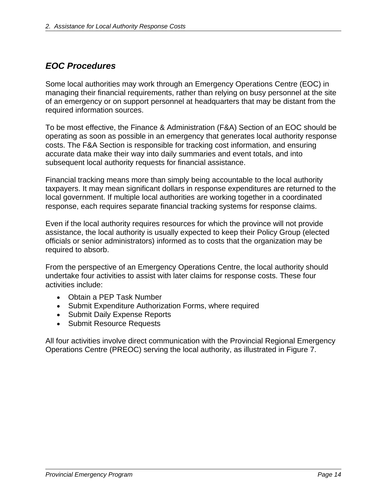## <span id="page-17-0"></span>*EOC Procedures*

Some local authorities may work through an Emergency Operations Centre (EOC) in managing their financial requirements, rather than relying on busy personnel at the site of an emergency or on support personnel at headquarters that may be distant from the required information sources.

To be most effective, the Finance & Administration (F&A) Section of an EOC should be operating as soon as possible in an emergency that generates local authority response costs. The F&A Section is responsible for tracking cost information, and ensuring accurate data make their way into daily summaries and event totals, and into subsequent local authority requests for financial assistance.

Financial tracking means more than simply being accountable to the local authority taxpayers. It may mean significant dollars in response expenditures are returned to the local government. If multiple local authorities are working together in a coordinated response, each requires separate financial tracking systems for response claims.

Even if the local authority requires resources for which the province will not provide assistance, the local authority is usually expected to keep their Policy Group (elected officials or senior administrators) informed as to costs that the organization may be required to absorb.

From the perspective of an Emergency Operations Centre, the local authority should undertake four activities to assist with later claims for response costs. These four activities include:

- Obtain a PEP Task Number
- Submit Expenditure Authorization Forms, where required
- Submit Daily Expense Reports
- Submit Resource Requests

All four activities involve direct communication with the Provincial Regional Emergency Operations Centre (PREOC) serving the local authority, as illustrated in Figure 7.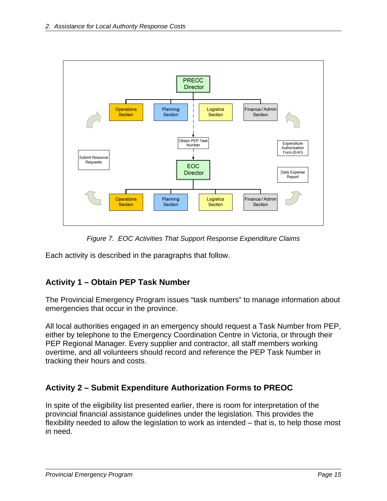<span id="page-18-0"></span>

*Figure 7. EOC Activities That Support Response Expenditure Claims* 

Each activity is described in the paragraphs that follow.

## **Activity 1 – Obtain PEP Task Number**

The Provincial Emergency Program issues "task numbers" to manage information about emergencies that occur in the province.

All local authorities engaged in an emergency should request a Task Number from PEP, either by telephone to the Emergency Coordination Centre in Victoria, or through their PEP Regional Manager. Every supplier and contractor, all staff members working overtime, and all volunteers should record and reference the PEP Task Number in tracking their hours and costs.

## **Activity 2 – Submit Expenditure Authorization Forms to PREOC**

In spite of the eligibility list presented earlier, there is room for interpretation of the provincial financial assistance guidelines under the legislation. This provides the flexibility needed to allow the legislation to work as intended – that is, to help those most in need.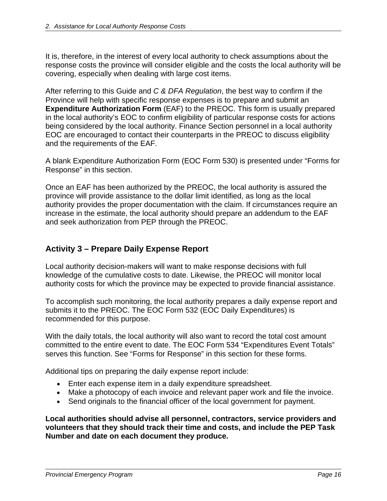<span id="page-19-0"></span>It is, therefore, in the interest of every local authority to check assumptions about the response costs the province will consider eligible and the costs the local authority will be covering, especially when dealing with large cost items.

After referring to this Guide and *C & DFA Regulation*, the best way to confirm if the Province will help with specific response expenses is to prepare and submit an **Expenditure Authorization Form** (EAF) to the PREOC. This form is usually prepared in the local authority's EOC to confirm eligibility of particular response costs for actions being considered by the local authority. Finance Section personnel in a local authority EOC are encouraged to contact their counterparts in the PREOC to discuss eligibility and the requirements of the EAF.

A blank Expenditure Authorization Form (EOC Form 530) is presented under "Forms for Response" in this section.

Once an EAF has been authorized by the PREOC, the local authority is assured the province will provide assistance to the dollar limit identified, as long as the local authority provides the proper documentation with the claim. If circumstances require an increase in the estimate, the local authority should prepare an addendum to the EAF and seek authorization from PEP through the PREOC.

## **Activity 3 – Prepare Daily Expense Report**

Local authority decision-makers will want to make response decisions with full knowledge of the cumulative costs to date. Likewise, the PREOC will monitor local authority costs for which the province may be expected to provide financial assistance.

To accomplish such monitoring, the local authority prepares a daily expense report and submits it to the PREOC. The EOC Form 532 (EOC Daily Expenditures) is recommended for this purpose.

With the daily totals, the local authority will also want to record the total cost amount committed to the entire event to date. The EOC Form 534 "Expenditures Event Totals" serves this function. See "Forms for Response" in this section for these forms.

Additional tips on preparing the daily expense report include:

- Enter each expense item in a daily expenditure spreadsheet.
- Make a photocopy of each invoice and relevant paper work and file the invoice.
- Send originals to the financial officer of the local government for payment.

**Local authorities should advise all personnel, contractors, service providers and volunteers that they should track their time and costs, and include the PEP Task Number and date on each document they produce.**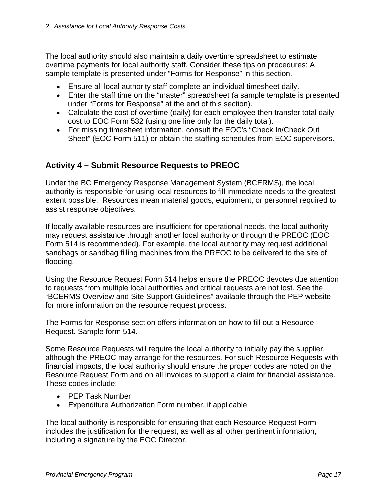<span id="page-20-0"></span>The local authority should also maintain a daily overtime spreadsheet to estimate overtime payments for local authority staff. Consider these tips on procedures: A sample template is presented under "Forms for Response" in this section.

- Ensure all local authority staff complete an individual timesheet daily.
- Enter the staff time on the "master" spreadsheet (a sample template is presented under "Forms for Response" at the end of this section).
- Calculate the cost of overtime (daily) for each employee then transfer total daily cost to EOC Form 532 (using one line only for the daily total).
- For missing timesheet information, consult the EOC's "Check In/Check Out Sheet" (EOC Form 511) or obtain the staffing schedules from EOC supervisors.

## **Activity 4 – Submit Resource Requests to PREOC**

Under the BC Emergency Response Management System (BCERMS), the local authority is responsible for using local resources to fill immediate needs to the greatest extent possible. Resources mean material goods, equipment, or personnel required to assist response objectives.

If locally available resources are insufficient for operational needs, the local authority may request assistance through another local authority or through the PREOC (EOC Form 514 is recommended). For example, the local authority may request additional sandbags or sandbag filling machines from the PREOC to be delivered to the site of flooding.

Using the Resource Request Form 514 helps ensure the PREOC devotes due attention to requests from multiple local authorities and critical requests are not lost. See the "BCERMS Overview and Site Support Guidelines" available through the PEP website for more information on the resource request process.

The Forms for Response section offers information on how to fill out a Resource Request. Sample form 514.

Some Resource Requests will require the local authority to initially pay the supplier, although the PREOC may arrange for the resources. For such Resource Requests with financial impacts, the local authority should ensure the proper codes are noted on the Resource Request Form and on all invoices to support a claim for financial assistance. These codes include:

- PEP Task Number
- Expenditure Authorization Form number, if applicable

The local authority is responsible for ensuring that each Resource Request Form includes the justification for the request, as well as all other pertinent information, including a signature by the EOC Director.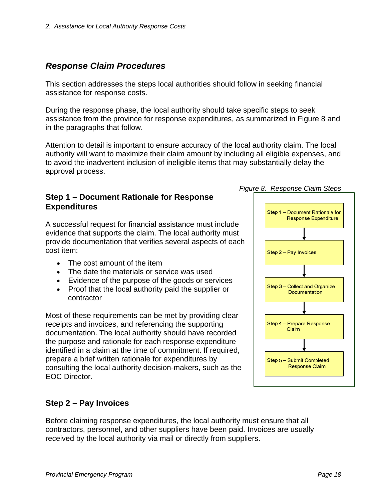## <span id="page-21-0"></span>*Response Claim Procedures*

This section addresses the steps local authorities should follow in seeking financial assistance for response costs.

During the response phase, the local authority should take specific steps to seek assistance from the province for response expenditures, as summarized in Figure 8 and in the paragraphs that follow.

Attention to detail is important to ensure accuracy of the local authority claim. The local authority will want to maximize their claim amount by including all eligible expenses, and to avoid the inadvertent inclusion of ineligible items that may substantially delay the approval process.

#### **Step 1 – Document Rationale for Response Expenditures**

A successful request for financial assistance must include evidence that supports the claim. The local authority must provide documentation that verifies several aspects of each cost item:

- The cost amount of the item
- The date the materials or service was used
- Evidence of the purpose of the goods or services
- Proof that the local authority paid the supplier or contractor

Most of these requirements can be met by providing clear receipts and invoices, and referencing the supporting documentation. The local authority should have recorded the purpose and rationale for each response expenditure identified in a claim at the time of commitment. If required, prepare a brief written rationale for expenditures by consulting the local authority decision-makers, such as the EOC Director.

## **Step 2 – Pay Invoices**

Before claiming response expenditures, the local authority must ensure that all contractors, personnel, and other suppliers have been paid. Invoices are usually received by the local authority via mail or directly from suppliers.



*Figure 8. Response Claim Steps*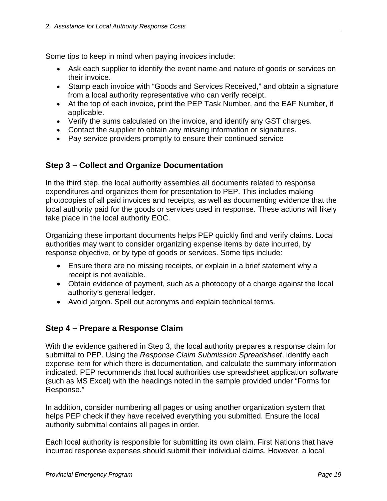<span id="page-22-0"></span>Some tips to keep in mind when paying invoices include:

- Ask each supplier to identify the event name and nature of goods or services on their invoice.
- Stamp each invoice with "Goods and Services Received," and obtain a signature from a local authority representative who can verify receipt.
- At the top of each invoice, print the PEP Task Number, and the EAF Number, if applicable.
- Verify the sums calculated on the invoice, and identify any GST charges.
- Contact the supplier to obtain any missing information or signatures.
- Pay service providers promptly to ensure their continued service

## **Step 3 – Collect and Organize Documentation**

In the third step, the local authority assembles all documents related to response expenditures and organizes them for presentation to PEP. This includes making photocopies of all paid invoices and receipts, as well as documenting evidence that the local authority paid for the goods or services used in response. These actions will likely take place in the local authority EOC.

Organizing these important documents helps PEP quickly find and verify claims. Local authorities may want to consider organizing expense items by date incurred, by response objective, or by type of goods or services. Some tips include:

- Ensure there are no missing receipts, or explain in a brief statement why a receipt is not available.
- Obtain evidence of payment, such as a photocopy of a charge against the local authority's general ledger.
- Avoid jargon. Spell out acronyms and explain technical terms.

#### **Step 4 – Prepare a Response Claim**

With the evidence gathered in Step 3, the local authority prepares a response claim for submittal to PEP. Using the *Response Claim Submission Spreadsheet*, identify each expense item for which there is documentation, and calculate the summary information indicated. PEP recommends that local authorities use spreadsheet application software (such as MS Excel) with the headings noted in the sample provided under "Forms for Response."

In addition, consider numbering all pages or using another organization system that helps PEP check if they have received everything you submitted. Ensure the local authority submittal contains all pages in order.

Each local authority is responsible for submitting its own claim. First Nations that have incurred response expenses should submit their individual claims. However, a local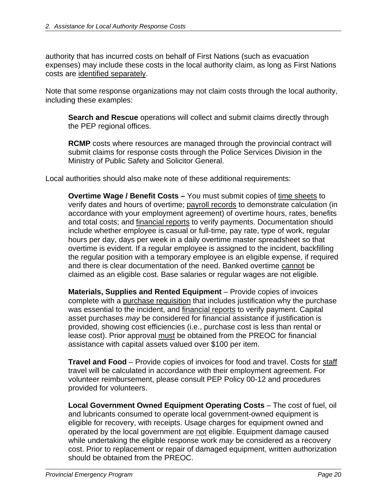authority that has incurred costs on behalf of First Nations (such as evacuation expenses) may include these costs in the local authority claim, as long as First Nations costs are identified separately.

Note that some response organizations may not claim costs through the local authority, including these examples:

**Search and Rescue** operations will collect and submit claims directly through the PEP regional offices.

**RCMP** costs where resources are managed through the provincial contract will submit claims for response costs through the Police Services Division in the Ministry of Public Safety and Solicitor General.

Local authorities should also make note of these additional requirements:

**Overtime Wage / Benefit Costs –** You must submit copies of time sheets to verify dates and hours of overtime; payroll records to demonstrate calculation (in accordance with your employment agreement) of overtime hours, rates, benefits and total costs; and *financial reports* to verify payments. Documentation should include whether employee is casual or full-time, pay rate, type of work, regular hours per day, days per week in a daily overtime master spreadsheet so that overtime is evident. If a regular employee is assigned to the incident, backfilling the regular position with a temporary employee is an eligible expense, if required and there is clear documentation of the need. Banked overtime cannot be claimed as an eligible cost. Base salaries or regular wages are not eligible.

**Materials, Supplies and Rented Equipment** – Provide copies of invoices complete with a purchase requisition that includes justification why the purchase was essential to the incident, and financial reports to verify payment. Capital asset purchases *may* be considered for financial assistance if justification is provided, showing cost efficiencies (i.e., purchase cost is less than rental or lease cost). Prior approval must be obtained from the PREOC for financial assistance with capital assets valued over \$100 per item.

**Travel and Food** – Provide copies of invoices for food and travel. Costs for staff travel will be calculated in accordance with their employment agreement. For volunteer reimbursement, please consult PEP Policy 00-12 and procedures provided for volunteers.

**Local Government Owned Equipment Operating Costs** – The cost of fuel, oil and lubricants consumed to operate local government-owned equipment is eligible for recovery, with receipts. Usage charges for equipment owned and operated by the local government are not eligible. Equipment damage caused while undertaking the eligible response work *may* be considered as a recovery cost. Prior to replacement or repair of damaged equipment, written authorization should be obtained from the PREOC.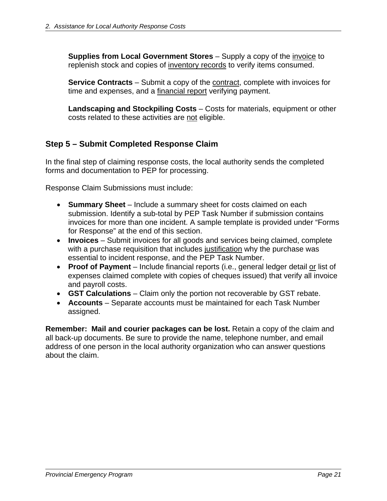<span id="page-24-0"></span>**Supplies from Local Government Stores** – Supply a copy of the *invoice* to replenish stock and copies of inventory records to verify items consumed.

**Service Contracts** – Submit a copy of the contract, complete with invoices for time and expenses, and a financial report verifying payment.

**Landscaping and Stockpiling Costs** – Costs for materials, equipment or other costs related to these activities are not eligible.

## **Step 5 – Submit Completed Response Claim**

In the final step of claiming response costs, the local authority sends the completed forms and documentation to PEP for processing.

Response Claim Submissions must include:

- **Summary Sheet** Include a summary sheet for costs claimed on each submission. Identify a sub-total by PEP Task Number if submission contains invoices for more than one incident. A sample template is provided under "Forms for Response" at the end of this section.
- **Invoices** Submit invoices for all goods and services being claimed, complete with a purchase requisition that includes justification why the purchase was essential to incident response, and the PEP Task Number.
- **Proof of Payment** Include financial reports (i.e., general ledger detail or list of expenses claimed complete with copies of cheques issued) that verify all invoice and payroll costs.
- **GST Calculations** Claim only the portion not recoverable by GST rebate.
- **Accounts** Separate accounts must be maintained for each Task Number assigned.

**Remember: Mail and courier packages can be lost.** Retain a copy of the claim and all back-up documents. Be sure to provide the name, telephone number, and email address of one person in the local authority organization who can answer questions about the claim.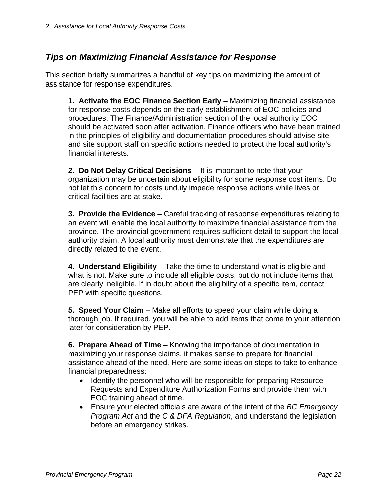## <span id="page-25-0"></span>*Tips on Maximizing Financial Assistance for Response*

This section briefly summarizes a handful of key tips on maximizing the amount of assistance for response expenditures.

**1. Activate the EOC Finance Section Early** – Maximizing financial assistance for response costs depends on the early establishment of EOC policies and procedures. The Finance/Administration section of the local authority EOC should be activated soon after activation. Finance officers who have been trained in the principles of eligibility and documentation procedures should advise site and site support staff on specific actions needed to protect the local authority's financial interests.

**2. Do Not Delay Critical Decisions** – It is important to note that your organization may be uncertain about eligibility for some response cost items. Do not let this concern for costs unduly impede response actions while lives or critical facilities are at stake.

**3. Provide the Evidence** – Careful tracking of response expenditures relating to an event will enable the local authority to maximize financial assistance from the province. The provincial government requires sufficient detail to support the local authority claim. A local authority must demonstrate that the expenditures are directly related to the event.

**4. Understand Eligibility** – Take the time to understand what is eligible and what is not. Make sure to include all eligible costs, but do not include items that are clearly ineligible. If in doubt about the eligibility of a specific item, contact PEP with specific questions.

**5. Speed Your Claim** – Make all efforts to speed your claim while doing a thorough job. If required, you will be able to add items that come to your attention later for consideration by PEP.

**6. Prepare Ahead of Time** – Knowing the importance of documentation in maximizing your response claims, it makes sense to prepare for financial assistance ahead of the need. Here are some ideas on steps to take to enhance financial preparedness:

- Identify the personnel who will be responsible for preparing Resource Requests and Expenditure Authorization Forms and provide them with EOC training ahead of time.
- Ensure your elected officials are aware of the intent of the *BC Emergency Program Act* and the *C & DFA Regulation*, and understand the legislation before an emergency strikes.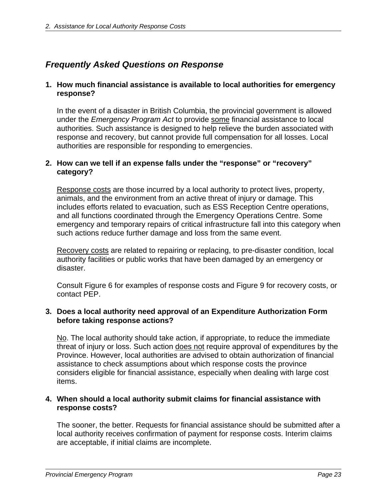## <span id="page-26-0"></span>*Frequently Asked Questions on Response*

#### **1. How much financial assistance is available to local authorities for emergency response?**

In the event of a disaster in British Columbia, the provincial government is allowed under the *Emergency Program Act* to provide some financial assistance to local authorities. Such assistance is designed to help relieve the burden associated with response and recovery, but cannot provide full compensation for all losses. Local authorities are responsible for responding to emergencies.

#### **2. How can we tell if an expense falls under the "response" or "recovery" category?**

Response costs are those incurred by a local authority to protect lives, property, animals, and the environment from an active threat of injury or damage. This includes efforts related to evacuation, such as ESS Reception Centre operations, and all functions coordinated through the Emergency Operations Centre. Some emergency and temporary repairs of critical infrastructure fall into this category when such actions reduce further damage and loss from the same event.

Recovery costs are related to repairing or replacing, to pre-disaster condition, local authority facilities or public works that have been damaged by an emergency or disaster.

Consult Figure 6 for examples of response costs and Figure 9 for recovery costs, or contact PEP.

#### **3. Does a local authority need approval of an Expenditure Authorization Form before taking response actions?**

No. The local authority should take action, if appropriate, to reduce the immediate threat of injury or loss. Such action does not require approval of expenditures by the Province. However, local authorities are advised to obtain authorization of financial assistance to check assumptions about which response costs the province considers eligible for financial assistance, especially when dealing with large cost items.

#### **4. When should a local authority submit claims for financial assistance with response costs?**

The sooner, the better. Requests for financial assistance should be submitted after a local authority receives confirmation of payment for response costs. Interim claims are acceptable, if initial claims are incomplete.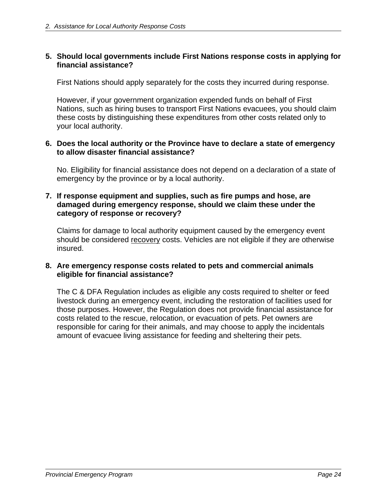#### **5. Should local governments include First Nations response costs in applying for financial assistance?**

First Nations should apply separately for the costs they incurred during response.

However, if your government organization expended funds on behalf of First Nations, such as hiring buses to transport First Nations evacuees, you should claim these costs by distinguishing these expenditures from other costs related only to your local authority.

#### **6. Does the local authority or the Province have to declare a state of emergency to allow disaster financial assistance?**

No. Eligibility for financial assistance does not depend on a declaration of a state of emergency by the province or by a local authority.

#### **7. If response equipment and supplies, such as fire pumps and hose, are damaged during emergency response, should we claim these under the category of response or recovery?**

Claims for damage to local authority equipment caused by the emergency event should be considered recovery costs. Vehicles are not eligible if they are otherwise insured.

#### **8. Are emergency response costs related to pets and commercial animals eligible for financial assistance?**

The C & DFA Regulation includes as eligible any costs required to shelter or feed livestock during an emergency event, including the restoration of facilities used for those purposes. However, the Regulation does not provide financial assistance for costs related to the rescue, relocation, or evacuation of pets. Pet owners are responsible for caring for their animals, and may choose to apply the incidentals amount of evacuee living assistance for feeding and sheltering their pets.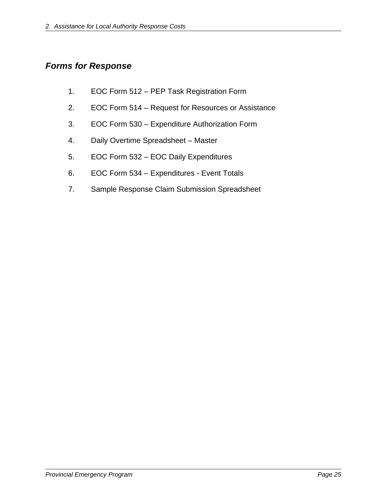## <span id="page-28-0"></span>*Forms for Response*

- 1. EOC Form 512 PEP Task Registration Form
- 2. EOC Form 514 Request for Resources or Assistance
- 3. EOC Form 530 Expenditure Authorization Form
- 4. Daily Overtime Spreadsheet Master
- 5. EOC Form 532 EOC Daily Expenditures
- 6. EOC Form 534 Expenditures Event Totals
- 7. Sample Response Claim Submission Spreadsheet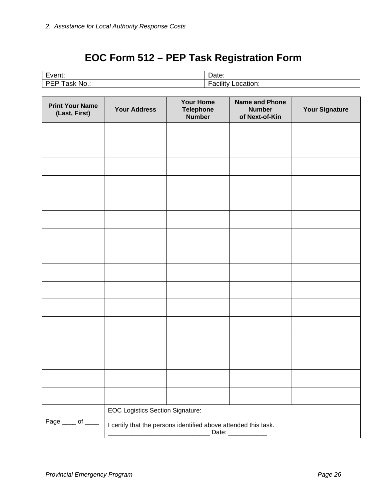# **EOC Form 512 – PEP Task Registration Form**

| $\overline{\phantom{0}}$<br>. <i>. .</i> 1<br>-10<br>LVUIL. | ⊃ate:     |
|-------------------------------------------------------------|-----------|
| DI                                                          |           |
| No                                                          | .         |
| asĸ                                                         | ״מי       |
| . .                                                         | ™ation. ∶ |
| --                                                          | acili     |

| <b>Print Your Name</b><br>(Last, First)             | <b>Your Address</b>                                                                    | <b>Your Home</b><br><b>Telephone</b><br><b>Number</b> | <b>Name and Phone</b><br><b>Number</b><br>of Next-of-Kin | <b>Your Signature</b> |
|-----------------------------------------------------|----------------------------------------------------------------------------------------|-------------------------------------------------------|----------------------------------------------------------|-----------------------|
|                                                     |                                                                                        |                                                       |                                                          |                       |
|                                                     |                                                                                        |                                                       |                                                          |                       |
|                                                     |                                                                                        |                                                       |                                                          |                       |
|                                                     |                                                                                        |                                                       |                                                          |                       |
|                                                     |                                                                                        |                                                       |                                                          |                       |
|                                                     |                                                                                        |                                                       |                                                          |                       |
|                                                     |                                                                                        |                                                       |                                                          |                       |
|                                                     |                                                                                        |                                                       |                                                          |                       |
|                                                     |                                                                                        |                                                       |                                                          |                       |
|                                                     |                                                                                        |                                                       |                                                          |                       |
|                                                     |                                                                                        |                                                       |                                                          |                       |
|                                                     |                                                                                        |                                                       |                                                          |                       |
|                                                     |                                                                                        |                                                       |                                                          |                       |
|                                                     |                                                                                        |                                                       |                                                          |                       |
|                                                     |                                                                                        |                                                       |                                                          |                       |
|                                                     |                                                                                        |                                                       |                                                          |                       |
|                                                     | <b>EOC Logistics Section Signature:</b>                                                |                                                       |                                                          |                       |
| Page $\rule{1em}{0.15mm}$ of $\rule{1.5mm}{0.15mm}$ | I certify that the persons identified above attended this task.<br>Date: _____________ |                                                       |                                                          |                       |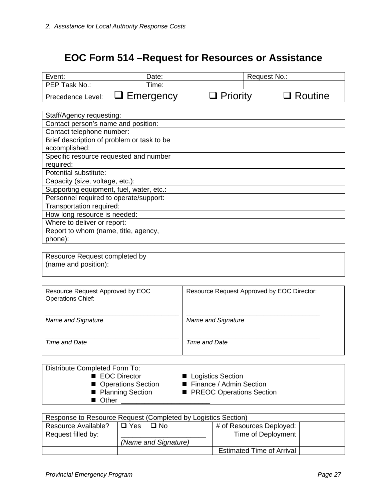# **EOC Form 514 –Request for Resources or Assistance**

| Event:            | Date:            |                 | Request No.:   |
|-------------------|------------------|-----------------|----------------|
| PEP Task No.:     | Time:            |                 |                |
| Precedence Level: | $\Box$ Emergency | $\Box$ Priority | $\Box$ Routine |

| Staff/Agency requesting:                   |  |
|--------------------------------------------|--|
| Contact person's name and position:        |  |
| Contact telephone number:                  |  |
| Brief description of problem or task to be |  |
| accomplished:                              |  |
| Specific resource requested and number     |  |
| required:                                  |  |
| Potential substitute:                      |  |
| Capacity (size, voltage, etc.):            |  |
| Supporting equipment, fuel, water, etc.:   |  |
| Personnel required to operate/support:     |  |
| Transportation required:                   |  |
| How long resource is needed:               |  |
| Where to deliver or report:                |  |
| Report to whom (name, title, agency,       |  |
| phone):                                    |  |

Resource Request completed by (name and position):

| Resource Request Approved by EOC | Resource Request Approved by EOC Director: |
|----------------------------------|--------------------------------------------|
| <b>Operations Chief:</b>         |                                            |
|                                  |                                            |
|                                  |                                            |
| Name and Signature               | Name and Signature                         |
|                                  |                                            |
|                                  |                                            |
| Time and Date                    | Time and Date                              |
|                                  |                                            |

| Distribute Completed Form To: |                            |
|-------------------------------|----------------------------|
| ■ EOC Director                | ■ Logistics Section        |
| ■ Operations Section          | ■ Finance / Admin Section  |
| ■ Planning Section            | ■ PREOC Operations Section |
| ■ Other                       |                            |

| Response to Resource Request (Completed by Logistics Section) |                                                     |                                  |  |  |  |  |
|---------------------------------------------------------------|-----------------------------------------------------|----------------------------------|--|--|--|--|
| Resource Available?                                           | # of Resources Deployed:<br>$\Box$ Yes<br>$\Box$ No |                                  |  |  |  |  |
| Request filled by:                                            |                                                     | Time of Deployment               |  |  |  |  |
|                                                               | (Name and Signature)                                |                                  |  |  |  |  |
|                                                               |                                                     | <b>Estimated Time of Arrival</b> |  |  |  |  |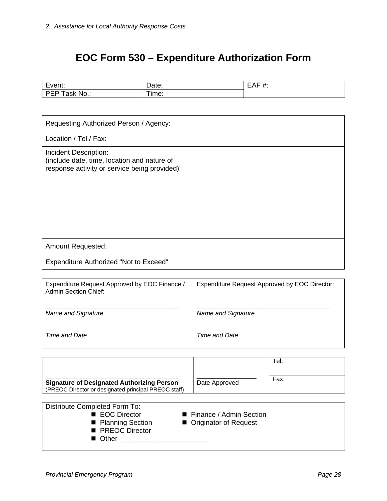# **EOC Form 530 – Expenditure Authorization Form**

|                       |         | <br> |
|-----------------------|---------|------|
| <b>NU</b><br>״ש<br>-- | ima<br> |      |

| Requesting Authorized Person / Agency:                                                                               |  |
|----------------------------------------------------------------------------------------------------------------------|--|
| Location / Tel / Fax:                                                                                                |  |
| Incident Description:<br>(include date, time, location and nature of<br>response activity or service being provided) |  |
| <b>Amount Requested:</b>                                                                                             |  |
| <b>Expenditure Authorized "Not to Exceed"</b>                                                                        |  |

| Expenditure Request Approved by EOC Finance /<br><b>Admin Section Chief:</b> | Expenditure Request Approved by EOC Director: |
|------------------------------------------------------------------------------|-----------------------------------------------|
| Name and Signature                                                           | Name and Signature                            |
| Time and Date                                                                | Time and Date                                 |

|                                                                                                           |               | Tel: |
|-----------------------------------------------------------------------------------------------------------|---------------|------|
| <b>Signature of Designated Authorizing Person</b><br>(PREOC Director or designated principal PREOC staff) | Date Approved | Fax: |

| Distribute Completed Form To: |                           |
|-------------------------------|---------------------------|
| ■ EOC Director                | ■ Finance / Admin Section |
| ■ Planning Section            | ■ Originator of Request   |
| ■ PREOC Director              |                           |
| ■ Other                       |                           |
|                               |                           |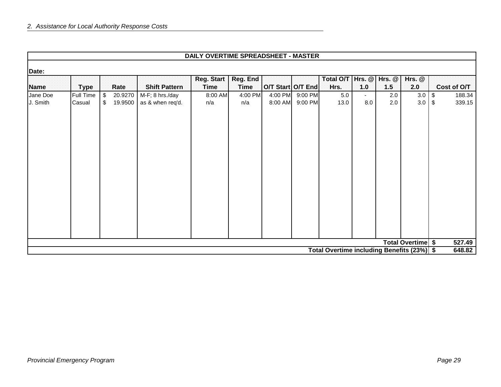|                      |                     |          |                    |                                     | DAILY OVERTIME SPREADSHEET - MASTER |                         |                   |                            |                                            |                       |            |                   |             |                  |
|----------------------|---------------------|----------|--------------------|-------------------------------------|-------------------------------------|-------------------------|-------------------|----------------------------|--------------------------------------------|-----------------------|------------|-------------------|-------------|------------------|
| Date:                |                     |          |                    |                                     |                                     |                         |                   |                            |                                            |                       |            |                   |             |                  |
| Name                 | <b>Type</b>         |          | Rate               | <b>Shift Pattern</b>                | <b>Reg. Start</b><br><b>Time</b>    | Reg. End<br><b>Time</b> | O/T Start O/T End |                            | Total O/T   Hrs. @   Hrs. @  <br>Hrs.      | 1.0                   | 1.5        | $Hrs.$ $@$<br>2.0 | Cost of O/T |                  |
| Jane Doe<br>J. Smith | Full Time<br>Casual | \$<br>\$ | 20.9270<br>19.9500 | M-F; 8 hrs./day<br>as & when req'd. | 8:00 AM<br>n/a                      | 4:00 PM<br>n/a          | 8:00 AM           | 4:00 PM 9:00 PM<br>9:00 PM | 5.0<br>13.0                                | $\blacksquare$<br>8.0 | 2.0<br>2.0 | 3.0               | $\sqrt{3}$  | 188.34<br>339.15 |
|                      |                     |          |                    |                                     |                                     |                         |                   |                            |                                            |                       |            | Total Overtime \$ |             | 527.49           |
|                      |                     |          |                    |                                     |                                     |                         |                   |                            | Total Overtime including Benefits (23%) \$ |                       |            |                   |             | 648.82           |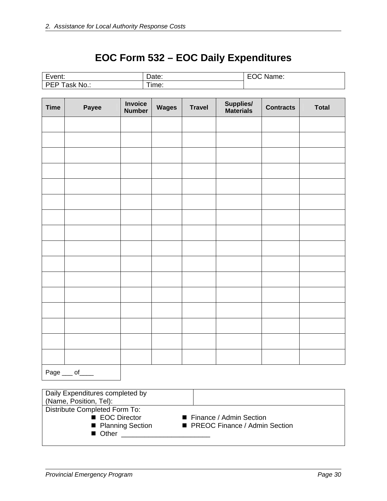# **EOC Form 532 – EOC Daily Expenditures**

| $\overline{\phantom{0}}$<br>.<br>EVENI. | υαισ.      | и<br>vanie. |
|-----------------------------------------|------------|-------------|
| N۲<br>10<br>--<br>ີ                     | --<br>ime: |             |

| <b>Time</b> | Payee | <b>Invoice</b><br><b>Number</b> | Wages | <b>Travel</b> | Supplies/<br>Materials | <b>Contracts</b> | <b>Total</b> |
|-------------|-------|---------------------------------|-------|---------------|------------------------|------------------|--------------|
|             |       |                                 |       |               |                        |                  |              |
|             |       |                                 |       |               |                        |                  |              |
|             |       |                                 |       |               |                        |                  |              |
|             |       |                                 |       |               |                        |                  |              |
|             |       |                                 |       |               |                        |                  |              |
|             |       |                                 |       |               |                        |                  |              |
|             |       |                                 |       |               |                        |                  |              |
|             |       |                                 |       |               |                        |                  |              |
|             |       |                                 |       |               |                        |                  |              |
|             |       |                                 |       |               |                        |                  |              |
|             |       |                                 |       |               |                        |                  |              |
|             |       |                                 |       |               |                        |                  |              |
|             |       |                                 |       |               |                        |                  |              |
|             |       |                                 |       |               |                        |                  |              |
|             |       |                                 |       |               |                        |                  |              |
|             |       |                                 |       |               |                        |                  |              |
|             |       |                                 |       |               |                        |                  |              |

Page \_\_\_ of \_\_\_\_

| Daily Expenditures completed by |                                 |
|---------------------------------|---------------------------------|
| (Name, Position, Tel):          |                                 |
| Distribute Completed Form To:   |                                 |
| ■ EOC Director                  | ■ Finance / Admin Section       |
| ■ Planning Section              | ■ PREOC Finance / Admin Section |
| ■ Other                         |                                 |
|                                 |                                 |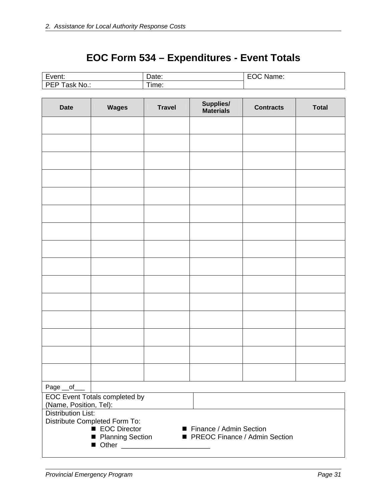# **EOC Form 534 – Expenditures - Event Totals**

| $\overline{\phantom{0}}$    | -         | Name: |
|-----------------------------|-----------|-------|
| Event:                      | Date:     | м     |
| $No.$ :<br>nn L<br>.<br>ask | ÷<br>ime: |       |

| <b>Date</b>                                         | <b>Wages</b>                                                   | <b>Travel</b> | Supplies/<br><b>Materials</b> | <b>Contracts</b> | <b>Total</b> |  |  |  |
|-----------------------------------------------------|----------------------------------------------------------------|---------------|-------------------------------|------------------|--------------|--|--|--|
|                                                     |                                                                |               |                               |                  |              |  |  |  |
|                                                     |                                                                |               |                               |                  |              |  |  |  |
|                                                     |                                                                |               |                               |                  |              |  |  |  |
|                                                     |                                                                |               |                               |                  |              |  |  |  |
|                                                     |                                                                |               |                               |                  |              |  |  |  |
|                                                     |                                                                |               |                               |                  |              |  |  |  |
|                                                     |                                                                |               |                               |                  |              |  |  |  |
|                                                     |                                                                |               |                               |                  |              |  |  |  |
|                                                     |                                                                |               |                               |                  |              |  |  |  |
|                                                     |                                                                |               |                               |                  |              |  |  |  |
|                                                     |                                                                |               |                               |                  |              |  |  |  |
|                                                     |                                                                |               |                               |                  |              |  |  |  |
|                                                     |                                                                |               |                               |                  |              |  |  |  |
|                                                     |                                                                |               |                               |                  |              |  |  |  |
|                                                     |                                                                |               |                               |                  |              |  |  |  |
| Page __of                                           |                                                                |               |                               |                  |              |  |  |  |
| EOC Event Totals completed by                       |                                                                |               |                               |                  |              |  |  |  |
| (Name, Position, Tel):<br><b>Distribution List:</b> |                                                                |               |                               |                  |              |  |  |  |
| Distribute Completed Form To:                       |                                                                |               |                               |                  |              |  |  |  |
|                                                     | ■ EOC Director                                                 |               | ■ Finance / Admin Section     |                  |              |  |  |  |
|                                                     | ■ Planning Section<br>PREOC Finance / Admin Section<br>■ Other |               |                               |                  |              |  |  |  |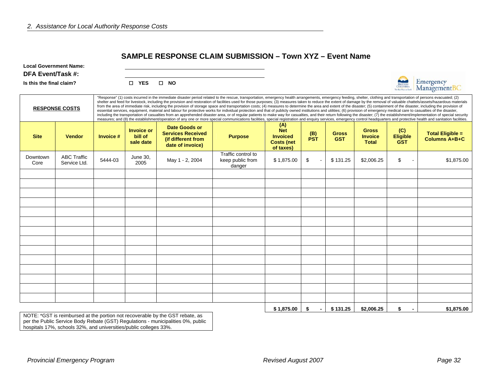#### **SAMPLE RESPONSE CLAIM SUBMISSION – Town XYZ – Event Name**

**Local Government Name:** 

#### **DFA Event/Task #:**

**Is this the final claim?**  $\Box$ 

| YES |  | <b>NO</b> |
|-----|--|-----------|
|-----|--|-----------|



|                  | <b>RESPONSE COSTS</b>              |             |                                           |                                                                                            |                                                  |                                                                        | "Response" (1) costs incurred in the immediate disaster period related to the rescue, transportation, emergency health arrangements, emergency feeding, shelter, clothing and transportation of persons evacuated; (2)<br>shelter and feed for livestock, including the provision and restoration of facilities used for those purposes; (3) measures taken to reduce the extent of damage by the removal of valuable chattels/assets/hazardous material<br>from the area of immediate risk, including the provision of storage space and transportation costs; (4) measures to determine the area and extent of the disaster; (5) containment of the disaster, including the provision of<br>essential services, equipment, material and labour for protective works for individual protection and that of publicly owned institutions and utilities; (6) provision of emergency medical care to casualties of the disaster<br>including the transportation of casualties from an apprehended disaster area, or of regular patients to make way for casualties, and their return following the disaster; (7) the establishment/implementation of special secu<br>measures; and (8) the establishment/operation of any one or more special communications facilities, special registration and enquiry services, emergency control headquarters and protective health and sanitation facilities. |                            |                                                |                                      |                                                 |
|------------------|------------------------------------|-------------|-------------------------------------------|--------------------------------------------------------------------------------------------|--------------------------------------------------|------------------------------------------------------------------------|--------------------------------------------------------------------------------------------------------------------------------------------------------------------------------------------------------------------------------------------------------------------------------------------------------------------------------------------------------------------------------------------------------------------------------------------------------------------------------------------------------------------------------------------------------------------------------------------------------------------------------------------------------------------------------------------------------------------------------------------------------------------------------------------------------------------------------------------------------------------------------------------------------------------------------------------------------------------------------------------------------------------------------------------------------------------------------------------------------------------------------------------------------------------------------------------------------------------------------------------------------------------------------------------------------------------------------------------------------------------------------------------------|----------------------------|------------------------------------------------|--------------------------------------|-------------------------------------------------|
| <b>Site</b>      | <b>Vendor</b>                      | Invoice $#$ | <b>Invoice or</b><br>bill of<br>sale date | <b>Date Goods or</b><br><b>Services Received</b><br>(if different from<br>date of invoice) | <b>Purpose</b>                                   | (A)<br><b>Net</b><br><b>Invoiced</b><br><b>Costs (net</b><br>of taxes) | (B)<br><b>PST</b>                                                                                                                                                                                                                                                                                                                                                                                                                                                                                                                                                                                                                                                                                                                                                                                                                                                                                                                                                                                                                                                                                                                                                                                                                                                                                                                                                                                | <b>Gross</b><br><b>GST</b> | <b>Gross</b><br><b>Invoice</b><br><b>Total</b> | (C)<br><b>Eligible</b><br><b>GST</b> | <b>Total Eligible =</b><br><b>Columns A+B+C</b> |
| Downtown<br>Core | <b>ABC Traffic</b><br>Service Ltd. | 5444-03     | June 30.<br>2005                          | May 1 - 2, 2004                                                                            | Traffic control to<br>keep public from<br>danger | \$1,875.00                                                             | \$                                                                                                                                                                                                                                                                                                                                                                                                                                                                                                                                                                                                                                                                                                                                                                                                                                                                                                                                                                                                                                                                                                                                                                                                                                                                                                                                                                                               | \$131.25                   | \$2,006.25                                     | \$                                   | \$1,875.00                                      |
|                  |                                    |             |                                           |                                                                                            |                                                  |                                                                        |                                                                                                                                                                                                                                                                                                                                                                                                                                                                                                                                                                                                                                                                                                                                                                                                                                                                                                                                                                                                                                                                                                                                                                                                                                                                                                                                                                                                  |                            |                                                |                                      |                                                 |
|                  |                                    |             |                                           |                                                                                            |                                                  |                                                                        |                                                                                                                                                                                                                                                                                                                                                                                                                                                                                                                                                                                                                                                                                                                                                                                                                                                                                                                                                                                                                                                                                                                                                                                                                                                                                                                                                                                                  |                            |                                                |                                      |                                                 |
|                  |                                    |             |                                           |                                                                                            |                                                  |                                                                        |                                                                                                                                                                                                                                                                                                                                                                                                                                                                                                                                                                                                                                                                                                                                                                                                                                                                                                                                                                                                                                                                                                                                                                                                                                                                                                                                                                                                  |                            |                                                |                                      |                                                 |
|                  |                                    |             |                                           |                                                                                            |                                                  |                                                                        |                                                                                                                                                                                                                                                                                                                                                                                                                                                                                                                                                                                                                                                                                                                                                                                                                                                                                                                                                                                                                                                                                                                                                                                                                                                                                                                                                                                                  |                            |                                                |                                      |                                                 |
|                  |                                    |             |                                           |                                                                                            |                                                  |                                                                        |                                                                                                                                                                                                                                                                                                                                                                                                                                                                                                                                                                                                                                                                                                                                                                                                                                                                                                                                                                                                                                                                                                                                                                                                                                                                                                                                                                                                  |                            |                                                |                                      |                                                 |
|                  |                                    |             |                                           |                                                                                            |                                                  |                                                                        |                                                                                                                                                                                                                                                                                                                                                                                                                                                                                                                                                                                                                                                                                                                                                                                                                                                                                                                                                                                                                                                                                                                                                                                                                                                                                                                                                                                                  |                            |                                                |                                      |                                                 |
|                  |                                    |             |                                           |                                                                                            |                                                  |                                                                        |                                                                                                                                                                                                                                                                                                                                                                                                                                                                                                                                                                                                                                                                                                                                                                                                                                                                                                                                                                                                                                                                                                                                                                                                                                                                                                                                                                                                  |                            |                                                |                                      |                                                 |
|                  |                                    |             |                                           |                                                                                            |                                                  |                                                                        |                                                                                                                                                                                                                                                                                                                                                                                                                                                                                                                                                                                                                                                                                                                                                                                                                                                                                                                                                                                                                                                                                                                                                                                                                                                                                                                                                                                                  |                            |                                                |                                      |                                                 |
|                  |                                    |             |                                           |                                                                                            |                                                  |                                                                        |                                                                                                                                                                                                                                                                                                                                                                                                                                                                                                                                                                                                                                                                                                                                                                                                                                                                                                                                                                                                                                                                                                                                                                                                                                                                                                                                                                                                  |                            |                                                |                                      |                                                 |
|                  |                                    |             |                                           |                                                                                            |                                                  |                                                                        |                                                                                                                                                                                                                                                                                                                                                                                                                                                                                                                                                                                                                                                                                                                                                                                                                                                                                                                                                                                                                                                                                                                                                                                                                                                                                                                                                                                                  |                            |                                                |                                      |                                                 |
|                  |                                    |             |                                           |                                                                                            |                                                  |                                                                        |                                                                                                                                                                                                                                                                                                                                                                                                                                                                                                                                                                                                                                                                                                                                                                                                                                                                                                                                                                                                                                                                                                                                                                                                                                                                                                                                                                                                  |                            |                                                |                                      |                                                 |
|                  |                                    |             |                                           |                                                                                            |                                                  |                                                                        |                                                                                                                                                                                                                                                                                                                                                                                                                                                                                                                                                                                                                                                                                                                                                                                                                                                                                                                                                                                                                                                                                                                                                                                                                                                                                                                                                                                                  |                            |                                                |                                      |                                                 |
|                  |                                    |             |                                           |                                                                                            |                                                  |                                                                        |                                                                                                                                                                                                                                                                                                                                                                                                                                                                                                                                                                                                                                                                                                                                                                                                                                                                                                                                                                                                                                                                                                                                                                                                                                                                                                                                                                                                  |                            |                                                |                                      |                                                 |
|                  |                                    |             |                                           |                                                                                            |                                                  | \$1,875.00                                                             | \$<br>$\blacksquare$                                                                                                                                                                                                                                                                                                                                                                                                                                                                                                                                                                                                                                                                                                                                                                                                                                                                                                                                                                                                                                                                                                                                                                                                                                                                                                                                                                             | \$131.25                   | \$2,006.25                                     | \$<br>$\blacksquare$                 | \$1,875.00                                      |

NOTE: \*GST is reimbursed at the portion not recoverable by the GST rebate, as per the Public Service Body Rebate (GST) Regulations - municipalities 0%, public hospitals 17%, schools 32%, and universities/public colleges 33%.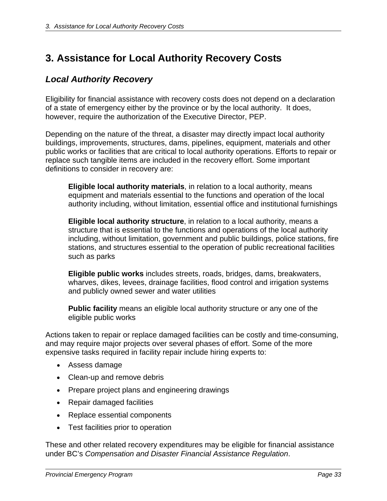# **3. Assistance for Local Authority Recovery Costs**

# *Local Authority Recovery*

Eligibility for financial assistance with recovery costs does not depend on a declaration of a state of emergency either by the province or by the local authority. It does, however, require the authorization of the Executive Director, PEP.

Depending on the nature of the threat, a disaster may directly impact local authority buildings, improvements, structures, dams, pipelines, equipment, materials and other public works or facilities that are critical to local authority operations. Efforts to repair or replace such tangible items are included in the recovery effort. Some important definitions to consider in recovery are:

**Eligible local authority materials**, in relation to a local authority, means equipment and materials essential to the functions and operation of the local authority including, without limitation, essential office and institutional furnishings

**Eligible local authority structure**, in relation to a local authority, means a structure that is essential to the functions and operations of the local authority including, without limitation, government and public buildings, police stations, fire stations, and structures essential to the operation of public recreational facilities such as parks

**Eligible public works** includes streets, roads, bridges, dams, breakwaters, wharves, dikes, levees, drainage facilities, flood control and irrigation systems and publicly owned sewer and water utilities

**Public facility** means an eligible local authority structure or any one of the eligible public works

Actions taken to repair or replace damaged facilities can be costly and time-consuming, and may require major projects over several phases of effort. Some of the more expensive tasks required in facility repair include hiring experts to:

- Assess damage
- Clean-up and remove debris
- Prepare project plans and engineering drawings
- Repair damaged facilities
- Replace essential components
- Test facilities prior to operation

These and other related recovery expenditures may be eligible for financial assistance under BC's *Compensation and Disaster Financial Assistance Regulation*.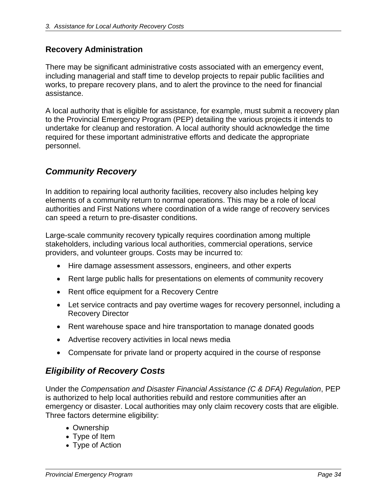# **Recovery Administration**

There may be significant administrative costs associated with an emergency event, including managerial and staff time to develop projects to repair public facilities and works, to prepare recovery plans, and to alert the province to the need for financial assistance.

A local authority that is eligible for assistance, for example, must submit a recovery plan to the Provincial Emergency Program (PEP) detailing the various projects it intends to undertake for cleanup and restoration. A local authority should acknowledge the time required for these important administrative efforts and dedicate the appropriate personnel.

# *Community Recovery*

In addition to repairing local authority facilities, recovery also includes helping key elements of a community return to normal operations. This may be a role of local authorities and First Nations where coordination of a wide range of recovery services can speed a return to pre-disaster conditions.

Large-scale community recovery typically requires coordination among multiple stakeholders, including various local authorities, commercial operations, service providers, and volunteer groups. Costs may be incurred to:

- Hire damage assessment assessors, engineers, and other experts
- Rent large public halls for presentations on elements of community recovery
- Rent office equipment for a Recovery Centre
- Let service contracts and pay overtime wages for recovery personnel, including a Recovery Director
- Rent warehouse space and hire transportation to manage donated goods
- Advertise recovery activities in local news media
- Compensate for private land or property acquired in the course of response

# *Eligibility of Recovery Costs*

Under the *Compensation and Disaster Financial Assistance (C & DFA) Regulation*, PEP is authorized to help local authorities rebuild and restore communities after an emergency or disaster. Local authorities may only claim recovery costs that are eligible. Three factors determine eligibility:

- Ownership
- Type of Item
- Type of Action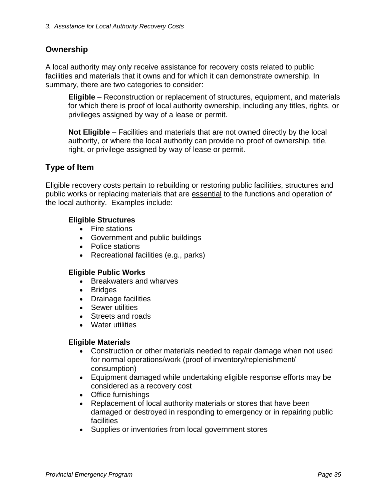# **Ownership**

A local authority may only receive assistance for recovery costs related to public facilities and materials that it owns and for which it can demonstrate ownership. In summary, there are two categories to consider:

**Eligible** – Reconstruction or replacement of structures, equipment, and materials for which there is proof of local authority ownership, including any titles, rights, or privileges assigned by way of a lease or permit.

**Not Eligible** – Facilities and materials that are not owned directly by the local authority, or where the local authority can provide no proof of ownership, title, right, or privilege assigned by way of lease or permit.

# **Type of Item**

Eligible recovery costs pertain to rebuilding or restoring public facilities, structures and public works or replacing materials that are essential to the functions and operation of the local authority. Examples include:

# **Eligible Structures**

- Fire stations
- Government and public buildings
- Police stations
- Recreational facilities (e.g., parks)

## **Eligible Public Works**

- Breakwaters and wharves
- Bridges
- Drainage facilities
- Sewer utilities
- Streets and roads
- Water utilities

## **Eligible Materials**

- Construction or other materials needed to repair damage when not used for normal operations/work (proof of inventory/replenishment/ consumption)
- Equipment damaged while undertaking eligible response efforts may be considered as a recovery cost
- Office furnishings
- Replacement of local authority materials or stores that have been damaged or destroyed in responding to emergency or in repairing public facilities
- Supplies or inventories from local government stores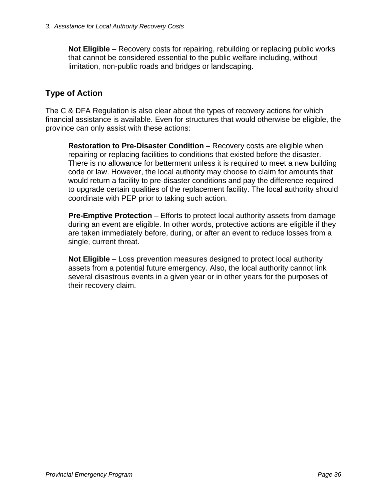**Not Eligible** – Recovery costs for repairing, rebuilding or replacing public works that cannot be considered essential to the public welfare including, without limitation, non-public roads and bridges or landscaping.

# **Type of Action**

The C & DFA Regulation is also clear about the types of recovery actions for which financial assistance is available. Even for structures that would otherwise be eligible, the province can only assist with these actions:

**Restoration to Pre-Disaster Condition** – Recovery costs are eligible when repairing or replacing facilities to conditions that existed before the disaster. There is no allowance for betterment unless it is required to meet a new building code or law. However, the local authority may choose to claim for amounts that would return a facility to pre-disaster conditions and pay the difference required to upgrade certain qualities of the replacement facility. The local authority should coordinate with PEP prior to taking such action.

**Pre-Emptive Protection** – Efforts to protect local authority assets from damage during an event are eligible. In other words, protective actions are eligible if they are taken immediately before, during, or after an event to reduce losses from a single, current threat.

**Not Eligible** – Loss prevention measures designed to protect local authority assets from a potential future emergency. Also, the local authority cannot link several disastrous events in a given year or in other years for the purposes of their recovery claim.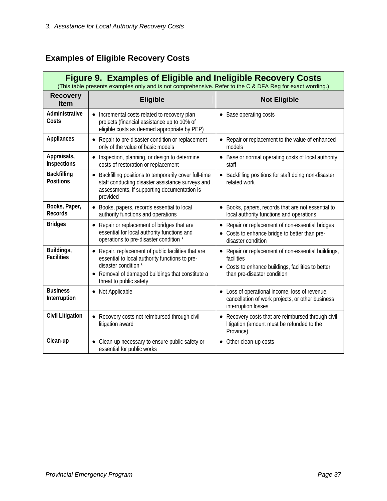# **Examples of Eligible Recovery Costs**

| <b>Figure 9. Examples of Eligible and Ineligible Recovery Costs</b><br>(This table presents examples only and is not comprehensive. Refer to the C & DFA Reg for exact wording.) |                                                                                                                                                                                                          |                                                                                                                                                        |  |  |  |  |  |
|----------------------------------------------------------------------------------------------------------------------------------------------------------------------------------|----------------------------------------------------------------------------------------------------------------------------------------------------------------------------------------------------------|--------------------------------------------------------------------------------------------------------------------------------------------------------|--|--|--|--|--|
| <b>Recovery</b><br><b>Item</b>                                                                                                                                                   | <b>Eligible</b><br><b>Not Eligible</b>                                                                                                                                                                   |                                                                                                                                                        |  |  |  |  |  |
| Administrative<br>Costs                                                                                                                                                          | • Incremental costs related to recovery plan<br>projects (financial assistance up to 10% of<br>eligible costs as deemed appropriate by PEP)                                                              | • Base operating costs                                                                                                                                 |  |  |  |  |  |
| <b>Appliances</b>                                                                                                                                                                | Repair to pre-disaster condition or replacement<br>only of the value of basic models                                                                                                                     | • Repair or replacement to the value of enhanced<br>models                                                                                             |  |  |  |  |  |
| Appraisals,<br>Inspections                                                                                                                                                       | Inspection, planning, or design to determine<br>costs of restoration or replacement                                                                                                                      | Base or normal operating costs of local authority<br>$\bullet$<br>staff                                                                                |  |  |  |  |  |
| <b>Backfilling</b><br><b>Positions</b>                                                                                                                                           | Backfilling positions to temporarily cover full-time<br>staff conducting disaster assistance surveys and<br>assessments, if supporting documentation is<br>provided                                      | Backfilling positions for staff doing non-disaster<br>$\bullet$<br>related work                                                                        |  |  |  |  |  |
| Books, Paper,<br><b>Records</b>                                                                                                                                                  | • Books, papers, records essential to local<br>authority functions and operations                                                                                                                        | • Books, papers, records that are not essential to<br>local authority functions and operations                                                         |  |  |  |  |  |
| <b>Bridges</b>                                                                                                                                                                   | Repair or replacement of bridges that are<br>$\bullet$<br>essential for local authority functions and<br>operations to pre-disaster condition *                                                          | Repair or replacement of non-essential bridges<br>٠<br>Costs to enhance bridge to better than pre-<br>disaster condition                               |  |  |  |  |  |
| Buildings,<br><b>Facilities</b>                                                                                                                                                  | Repair, replacement of public facilities that are<br>essential to local authority functions to pre-<br>disaster condition *<br>Removal of damaged buildings that constitute a<br>threat to public safety | • Repair or replacement of non-essential buildings,<br>facilities<br>• Costs to enhance buildings, facilities to better<br>than pre-disaster condition |  |  |  |  |  |
| <b>Business</b><br>Interruption                                                                                                                                                  | Not Applicable                                                                                                                                                                                           | • Loss of operational income, loss of revenue,<br>cancellation of work projects, or other business<br>interruption losses                              |  |  |  |  |  |
| <b>Civil Litigation</b>                                                                                                                                                          | Recovery costs not reimbursed through civil<br>litigation award                                                                                                                                          | Recovery costs that are reimbursed through civil<br>litigation (amount must be refunded to the<br>Province)                                            |  |  |  |  |  |
| Clean-up                                                                                                                                                                         | Clean-up necessary to ensure public safety or<br>essential for public works                                                                                                                              | • Other clean-up costs                                                                                                                                 |  |  |  |  |  |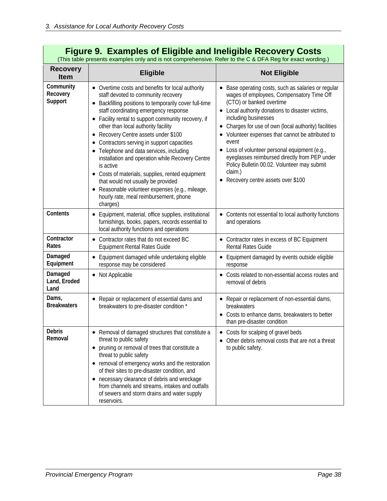|                                         | <b>Figure 9. Examples of Eligible and Ineligible Recovery Costs</b><br>(This table presents examples only and is not comprehensive. Refer to the C & DFA Reg for exact wording.)                                                                                                                                                                                                                                                                                                                                                                                                                                                                                                            |                                                                                                                                                                                                                                                                                                                                                                                                                                                                                                                                    |
|-----------------------------------------|---------------------------------------------------------------------------------------------------------------------------------------------------------------------------------------------------------------------------------------------------------------------------------------------------------------------------------------------------------------------------------------------------------------------------------------------------------------------------------------------------------------------------------------------------------------------------------------------------------------------------------------------------------------------------------------------|------------------------------------------------------------------------------------------------------------------------------------------------------------------------------------------------------------------------------------------------------------------------------------------------------------------------------------------------------------------------------------------------------------------------------------------------------------------------------------------------------------------------------------|
| <b>Recovery</b><br><b>Item</b>          | <b>Eligible</b>                                                                                                                                                                                                                                                                                                                                                                                                                                                                                                                                                                                                                                                                             | <b>Not Eligible</b>                                                                                                                                                                                                                                                                                                                                                                                                                                                                                                                |
| Community<br>Recovery<br><b>Support</b> | • Overtime costs and benefits for local authority<br>staff devoted to community recovery<br>Backfilling positions to temporarily cover full-time<br>staff coordinating emergency response<br>• Facility rental to support community recovery, if<br>other than local authority facility<br>Recovery Centre assets under \$100<br>Contractors serving in support capacities<br>Telephone and data services, including<br>installation and operation while Recovery Centre<br>is active<br>• Costs of materials, supplies, rented equipment<br>that would not usually be provided<br>Reasonable volunteer expenses (e.g., mileage,<br>٠<br>hourly rate, meal reimbursement, phone<br>charges) | • Base operating costs, such as salaries or regular<br>wages of employees, Compensatory Time Off<br>(CTO) or banked overtime<br>• Local authority donations to disaster victims,<br>including businesses<br>• Charges for use of own (local authority) facilities<br>• Volunteer expenses that cannot be attributed to<br>event<br>• Loss of volunteer personal equipment (e.g.,<br>eyeglasses reimbursed directly from PEP under<br>Policy Bulletin 00.02. Volunteer may submit<br>claim.)<br>• Recovery centre assets over \$100 |
| Contents                                | Equipment, material, office supplies, institutional<br>$\bullet$<br>furnishings, books, papers, records essential to<br>local authority functions and operations                                                                                                                                                                                                                                                                                                                                                                                                                                                                                                                            | • Contents not essential to local authority functions<br>and operations                                                                                                                                                                                                                                                                                                                                                                                                                                                            |
| Contractor<br>Rates                     | Contractor rates that do not exceed BC<br>$\bullet$<br><b>Equipment Rental Rates Guide</b>                                                                                                                                                                                                                                                                                                                                                                                                                                                                                                                                                                                                  | • Contractor rates in excess of BC Equipment<br><b>Rental Rates Guide</b>                                                                                                                                                                                                                                                                                                                                                                                                                                                          |
| Damaged<br>Equipment                    | Equipment damaged while undertaking eligible<br>response may be considered                                                                                                                                                                                                                                                                                                                                                                                                                                                                                                                                                                                                                  | • Equipment damaged by events outside eligible<br>response                                                                                                                                                                                                                                                                                                                                                                                                                                                                         |
| Damaged<br>Land, Eroded<br>Land         | • Not Applicable                                                                                                                                                                                                                                                                                                                                                                                                                                                                                                                                                                                                                                                                            | • Costs related to non-essential access routes and<br>removal of debris                                                                                                                                                                                                                                                                                                                                                                                                                                                            |
| Dams,<br><b>Breakwaters</b>             | Repair or replacement of essential dams and<br>breakwaters to pre-disaster condition *                                                                                                                                                                                                                                                                                                                                                                                                                                                                                                                                                                                                      | • Repair or replacement of non-essential dams,<br>breakwaters<br>• Costs to enhance dams, breakwaters to better<br>than pre-disaster condition                                                                                                                                                                                                                                                                                                                                                                                     |
| <b>Debris</b><br>Removal                | Removal of damaged structures that constitute a<br>threat to public safety<br>pruning or removal of trees that constitute a<br>threat to public safety<br>removal of emergency works and the restoration<br>٠<br>of their sites to pre-disaster condition, and<br>necessary clearance of debris and wreckage<br>٠<br>from channels and streams, intakes and outfalls<br>of sewers and storm drains and water supply<br>reservoirs.                                                                                                                                                                                                                                                          | Costs for scalping of gravel beds<br>Other debris removal costs that are not a threat<br>to public safety.                                                                                                                                                                                                                                                                                                                                                                                                                         |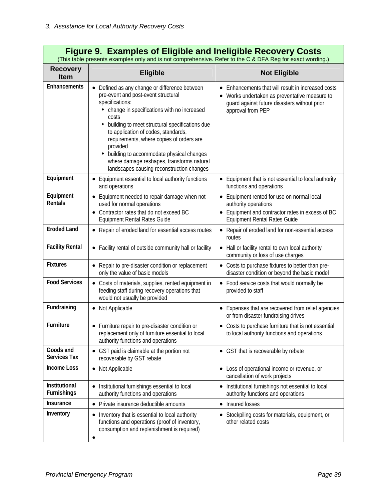| <b>Figure 9. Examples of Eligible and Ineligible Recovery Costs</b><br>(This table presents examples only and is not comprehensive. Refer to the C & DFA Reg for exact wording.) |                                                                                                                                                                                                                                                                                                                                                                                                                                                              |                                                                                                                                                                                   |  |  |  |  |
|----------------------------------------------------------------------------------------------------------------------------------------------------------------------------------|--------------------------------------------------------------------------------------------------------------------------------------------------------------------------------------------------------------------------------------------------------------------------------------------------------------------------------------------------------------------------------------------------------------------------------------------------------------|-----------------------------------------------------------------------------------------------------------------------------------------------------------------------------------|--|--|--|--|
| <b>Recovery</b><br><b>Item</b>                                                                                                                                                   | <b>Eligible</b>                                                                                                                                                                                                                                                                                                                                                                                                                                              | <b>Not Eligible</b>                                                                                                                                                               |  |  |  |  |
| <b>Enhancements</b>                                                                                                                                                              | • Defined as any change or difference between<br>pre-event and post-event structural<br>specifications:<br>• change in specifications with no increased<br>costs<br>building to meet structural specifications due<br>to application of codes, standards,<br>requirements, where copies of orders are<br>provided<br>building to accommodate physical changes<br>٠<br>where damage reshapes, transforms natural<br>landscapes causing reconstruction changes | Enhancements that will result in increased costs<br>$\bullet$<br>Works undertaken as preventative measure to<br>guard against future disasters without prior<br>approval from PEP |  |  |  |  |
| Equipment                                                                                                                                                                        | Equipment essential to local authority functions<br>and operations                                                                                                                                                                                                                                                                                                                                                                                           | Equipment that is not essential to local authority<br>functions and operations                                                                                                    |  |  |  |  |
| Equipment<br><b>Rentals</b>                                                                                                                                                      | Equipment needed to repair damage when not<br>used for normal operations<br>Contractor rates that do not exceed BC<br><b>Equipment Rental Rates Guide</b>                                                                                                                                                                                                                                                                                                    | Equipment rented for use on normal local<br>authority operations<br>Equipment and contractor rates in excess of BC<br><b>Equipment Rental Rates Guide</b>                         |  |  |  |  |
| <b>Eroded Land</b>                                                                                                                                                               | • Repair of eroded land for essential access routes                                                                                                                                                                                                                                                                                                                                                                                                          | • Repair of eroded land for non-essential access<br>routes                                                                                                                        |  |  |  |  |
| <b>Facility Rental</b>                                                                                                                                                           | • Facility rental of outside community hall or facility                                                                                                                                                                                                                                                                                                                                                                                                      | Hall or facility rental to own local authority<br>$\bullet$<br>community or loss of use charges                                                                                   |  |  |  |  |
| <b>Fixtures</b>                                                                                                                                                                  | Repair to pre-disaster condition or replacement<br>only the value of basic models                                                                                                                                                                                                                                                                                                                                                                            | • Costs to purchase fixtures to better than pre-<br>disaster condition or beyond the basic model                                                                                  |  |  |  |  |
| <b>Food Services</b>                                                                                                                                                             | • Costs of materials, supplies, rented equipment in<br>feeding staff during recovery operations that<br>would not usually be provided                                                                                                                                                                                                                                                                                                                        | • Food service costs that would normally be<br>provided to staff                                                                                                                  |  |  |  |  |
| Fundraising                                                                                                                                                                      | • Not Applicable                                                                                                                                                                                                                                                                                                                                                                                                                                             | Expenses that are recovered from relief agencies<br>or from disaster fundraising drives                                                                                           |  |  |  |  |
| <b>Furniture</b>                                                                                                                                                                 | Furniture repair to pre-disaster condition or<br>replacement only of furniture essential to local<br>authority functions and operations                                                                                                                                                                                                                                                                                                                      | • Costs to purchase furniture that is not essential<br>to local authority functions and operations                                                                                |  |  |  |  |
| Goods and<br><b>Services Tax</b>                                                                                                                                                 | GST paid is claimable at the portion not<br>recoverable by GST rebate                                                                                                                                                                                                                                                                                                                                                                                        | • GST that is recoverable by rebate                                                                                                                                               |  |  |  |  |
| <b>Income Loss</b>                                                                                                                                                               | • Not Applicable                                                                                                                                                                                                                                                                                                                                                                                                                                             | Loss of operational income or revenue, or<br>cancellation of work projects                                                                                                        |  |  |  |  |
| Institutional<br><b>Furnishings</b>                                                                                                                                              | Institutional furnishings essential to local<br>٠<br>authority functions and operations                                                                                                                                                                                                                                                                                                                                                                      | Institutional furnishings not essential to local<br>٠<br>authority functions and operations                                                                                       |  |  |  |  |
| Insurance                                                                                                                                                                        | Private insurance deductible amounts<br>$\bullet$                                                                                                                                                                                                                                                                                                                                                                                                            | Insured losses<br>$\bullet$                                                                                                                                                       |  |  |  |  |
| Inventory                                                                                                                                                                        | Inventory that is essential to local authority<br>٠<br>functions and operations (proof of inventory,<br>consumption and replenishment is required)                                                                                                                                                                                                                                                                                                           | Stockpiling costs for materials, equipment, or<br>other related costs                                                                                                             |  |  |  |  |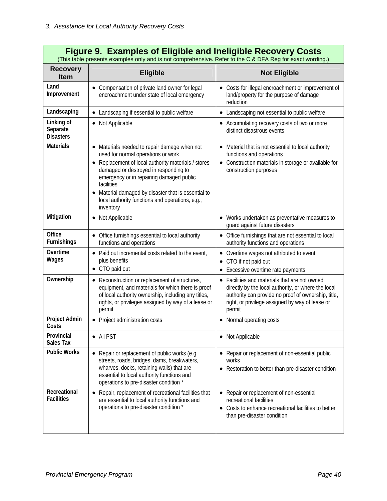|                                            | <b>Figure 9. Examples of Eligible and Ineligible Recovery Costs</b><br>(This table presents examples only and is not comprehensive. Refer to the C & DFA Reg for exact wording.)                                                                                                                                                                                                        |                                                                                                                                                                                                                          |
|--------------------------------------------|-----------------------------------------------------------------------------------------------------------------------------------------------------------------------------------------------------------------------------------------------------------------------------------------------------------------------------------------------------------------------------------------|--------------------------------------------------------------------------------------------------------------------------------------------------------------------------------------------------------------------------|
| <b>Recovery</b><br>Item                    | <b>Eligible</b>                                                                                                                                                                                                                                                                                                                                                                         | <b>Not Eligible</b>                                                                                                                                                                                                      |
| Land<br>Improvement                        | Compensation of private land owner for legal<br>encroachment under state of local emergency                                                                                                                                                                                                                                                                                             | • Costs for illegal encroachment or improvement of<br>land/property for the purpose of damage<br>reduction                                                                                                               |
| Landscaping                                | Landscaping if essential to public welfare                                                                                                                                                                                                                                                                                                                                              | • Landscaping not essential to public welfare                                                                                                                                                                            |
| Linking of<br>Separate<br><b>Disasters</b> | • Not Applicable                                                                                                                                                                                                                                                                                                                                                                        | • Accumulating recovery costs of two or more<br>distinct disastrous events                                                                                                                                               |
| <b>Materials</b>                           | Materials needed to repair damage when not<br>used for normal operations or work<br>Replacement of local authority materials / stores<br>$\bullet$<br>damaged or destroyed in responding to<br>emergency or in repairing damaged public<br>facilities<br>Material damaged by disaster that is essential to<br>$\bullet$<br>local authority functions and operations, e.g.,<br>inventory | Material that is not essential to local authority<br>functions and operations<br>• Construction materials in storage or available for<br>construction purposes                                                           |
| Mitigation                                 | Not Applicable<br>٠                                                                                                                                                                                                                                                                                                                                                                     | • Works undertaken as preventative measures to<br>guard against future disasters                                                                                                                                         |
| Office<br>Furnishings                      | Office furnishings essential to local authority<br>functions and operations                                                                                                                                                                                                                                                                                                             | • Office furnishings that are not essential to local<br>authority functions and operations                                                                                                                               |
| Overtime<br>Wages                          | Paid out incremental costs related to the event,<br>plus benefits<br>CTO paid out<br>$\bullet$                                                                                                                                                                                                                                                                                          | Overtime wages not attributed to event<br>٠<br>• CTO if not paid out<br>• Excessive overtime rate payments                                                                                                               |
| Ownership                                  | Reconstruction or replacement of structures,<br>٠<br>equipment, and materials for which there is proof<br>of local authority ownership, including any titles,<br>rights, or privileges assigned by way of a lease or<br>permit                                                                                                                                                          | • Facilities and materials that are not owned<br>directly by the local authority, or where the local<br>authority can provide no proof of ownership, title,<br>right, or privilege assigned by way of lease or<br>permit |
| <b>Project Admin</b><br>Costs              | Project administration costs<br>$\bullet$                                                                                                                                                                                                                                                                                                                                               | • Normal operating costs                                                                                                                                                                                                 |
| Provincial<br><b>Sales Tax</b>             | • All PST                                                                                                                                                                                                                                                                                                                                                                               | Not Applicable                                                                                                                                                                                                           |
| <b>Public Works</b>                        | Repair or replacement of public works (e.g.<br>streets, roads, bridges, dams, breakwaters,<br>wharves, docks, retaining walls) that are<br>essential to local authority functions and<br>operations to pre-disaster condition *                                                                                                                                                         | • Repair or replacement of non-essential public<br>works<br>Restoration to better than pre-disaster condition                                                                                                            |
| Recreational<br><b>Facilities</b>          | Repair, replacement of recreational facilities that<br>٠<br>are essential to local authority functions and<br>operations to pre-disaster condition *                                                                                                                                                                                                                                    | • Repair or replacement of non-essential<br>recreational facilities<br>Costs to enhance recreational facilities to better<br>٠<br>than pre-disaster condition                                                            |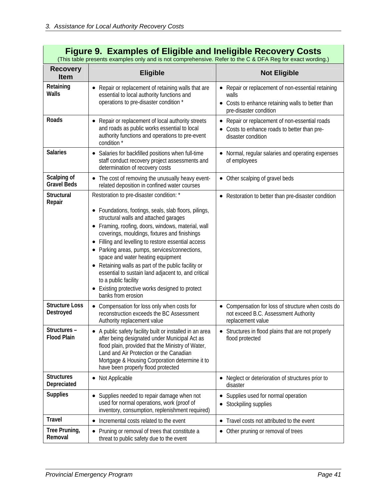| <b>Figure 9. Examples of Eligible and Ineligible Recovery Costs</b><br>(This table presents examples only and is not comprehensive. Refer to the C & DFA Reg for exact wording.) |                                                                                                                                                                                                                                                                                                                                                                                                                                                                                                                                                                                                                                                  |                                                                                                                                            |  |  |  |  |
|----------------------------------------------------------------------------------------------------------------------------------------------------------------------------------|--------------------------------------------------------------------------------------------------------------------------------------------------------------------------------------------------------------------------------------------------------------------------------------------------------------------------------------------------------------------------------------------------------------------------------------------------------------------------------------------------------------------------------------------------------------------------------------------------------------------------------------------------|--------------------------------------------------------------------------------------------------------------------------------------------|--|--|--|--|
| <b>Recovery</b><br><b>Item</b>                                                                                                                                                   | <b>Eligible</b>                                                                                                                                                                                                                                                                                                                                                                                                                                                                                                                                                                                                                                  | <b>Not Eligible</b>                                                                                                                        |  |  |  |  |
| Retaining<br><b>Walls</b>                                                                                                                                                        | Repair or replacement of retaining walls that are<br>essential to local authority functions and<br>operations to pre-disaster condition *                                                                                                                                                                                                                                                                                                                                                                                                                                                                                                        | • Repair or replacement of non-essential retaining<br>walls<br>• Costs to enhance retaining walls to better than<br>pre-disaster condition |  |  |  |  |
| Roads                                                                                                                                                                            | Repair or replacement of local authority streets<br>$\bullet$<br>and roads as public works essential to local<br>authority functions and operations to pre-event<br>condition *                                                                                                                                                                                                                                                                                                                                                                                                                                                                  | Repair or replacement of non-essential roads<br>$\bullet$<br>• Costs to enhance roads to better than pre-<br>disaster condition            |  |  |  |  |
| <b>Salaries</b>                                                                                                                                                                  | Salaries for backfilled positions when full-time<br>٠<br>staff conduct recovery project assessments and<br>determination of recovery costs                                                                                                                                                                                                                                                                                                                                                                                                                                                                                                       | Normal, regular salaries and operating expenses<br>of employees                                                                            |  |  |  |  |
| Scalping of<br><b>Gravel Beds</b>                                                                                                                                                | • The cost of removing the unusually heavy event-<br>related deposition in confined water courses                                                                                                                                                                                                                                                                                                                                                                                                                                                                                                                                                | • Other scalping of gravel beds                                                                                                            |  |  |  |  |
| <b>Structural</b><br>Repair<br><b>Structure Loss</b>                                                                                                                             | Restoration to pre-disaster condition: *<br>Foundations, footings, seals, slab floors, pilings,<br>structural walls and attached garages<br>Framing, roofing, doors, windows, material, wall<br>coverings, mouldings, fixtures and finishings<br>Filling and levelling to restore essential access<br>Parking areas, pumps, services/connections,<br>space and water heating equipment<br>Retaining walls as part of the public facility or<br>essential to sustain land adjacent to, and critical<br>to a public facility<br>Existing protective works designed to protect<br>banks from erosion<br>• Compensation for loss only when costs for | • Restoration to better than pre-disaster condition<br>• Compensation for loss of structure when costs do                                  |  |  |  |  |
| Destroyed                                                                                                                                                                        | reconstruction exceeds the BC Assessment<br>Authority replacement value                                                                                                                                                                                                                                                                                                                                                                                                                                                                                                                                                                          | not exceed B.C. Assessment Authority<br>replacement value                                                                                  |  |  |  |  |
| Structures –<br><b>Flood Plain</b>                                                                                                                                               | A public safety facility built or installed in an area<br>after being designated under Municipal Act as<br>flood plain, provided that the Ministry of Water,<br>Land and Air Protection or the Canadian<br>Mortgage & Housing Corporation determine it to<br>have been properly flood protected                                                                                                                                                                                                                                                                                                                                                  | Structures in flood plains that are not properly<br>$\bullet$<br>flood protected                                                           |  |  |  |  |
| <b>Structures</b><br>Depreciated                                                                                                                                                 | Not Applicable<br>٠                                                                                                                                                                                                                                                                                                                                                                                                                                                                                                                                                                                                                              | Neglect or deterioration of structures prior to<br>disaster                                                                                |  |  |  |  |
| <b>Supplies</b>                                                                                                                                                                  | Supplies needed to repair damage when not<br>٠<br>used for normal operations, work (proof of<br>inventory, consumption, replenishment required)                                                                                                                                                                                                                                                                                                                                                                                                                                                                                                  | Supplies used for normal operation<br>Stockpiling supplies                                                                                 |  |  |  |  |
| <b>Travel</b>                                                                                                                                                                    | Incremental costs related to the event<br>$\bullet$                                                                                                                                                                                                                                                                                                                                                                                                                                                                                                                                                                                              | Travel costs not attributed to the event<br>٠                                                                                              |  |  |  |  |
| Tree Pruning,<br>Removal                                                                                                                                                         | Pruning or removal of trees that constitute a<br>٠<br>threat to public safety due to the event                                                                                                                                                                                                                                                                                                                                                                                                                                                                                                                                                   | • Other pruning or removal of trees                                                                                                        |  |  |  |  |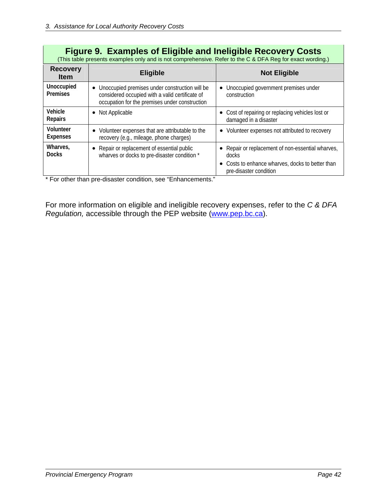|                                | <b>Figure 9. Examples of Eligible and Ineligible Recovery Costs</b><br>(This table presents examples only and is not comprehensive. Refer to the C & DFA Reg for exact wording.) |                                                                                                                                        |  |  |  |  |  |
|--------------------------------|----------------------------------------------------------------------------------------------------------------------------------------------------------------------------------|----------------------------------------------------------------------------------------------------------------------------------------|--|--|--|--|--|
| <b>Recovery</b><br><b>Item</b> | <b>Eligible</b>                                                                                                                                                                  | <b>Not Eligible</b>                                                                                                                    |  |  |  |  |  |
| Unoccupied<br><b>Premises</b>  | Unoccupied premises under construction will be<br>considered occupied with a valid certificate of<br>occupation for the premises under construction                              | Unoccupied government premises under<br>construction                                                                                   |  |  |  |  |  |
| Vehicle<br><b>Repairs</b>      | Not Applicable                                                                                                                                                                   | • Cost of repairing or replacing vehicles lost or<br>damaged in a disaster                                                             |  |  |  |  |  |
| Volunteer<br><b>Expenses</b>   | Volunteer expenses that are attributable to the<br>recovery (e.g., mileage, phone charges)                                                                                       | • Volunteer expenses not attributed to recovery                                                                                        |  |  |  |  |  |
| Wharves,<br><b>Docks</b>       | Repair or replacement of essential public<br>$\bullet$<br>wharves or docks to pre-disaster condition *<br>$\cdots$<br>$\cdots$ $\cdots$                                          | • Repair or replacement of non-essential wharves,<br>docks<br>Costs to enhance wharves, docks to better than<br>pre-disaster condition |  |  |  |  |  |

\* For other than pre-disaster condition, see "Enhancements."

For more information on eligible and ineligible recovery expenses, refer to the *C & DFA Regulation,* accessible through the PEP website ([www.pep.bc.ca](http://www.pep.bc.ca/)).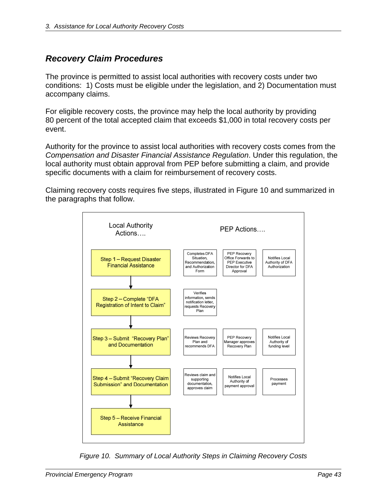# *Recovery Claim Procedures*

The province is permitted to assist local authorities with recovery costs under two conditions: 1) Costs must be eligible under the legislation, and 2) Documentation must accompany claims.

For eligible recovery costs, the province may help the local authority by providing 80 percent of the total accepted claim that exceeds \$1,000 in total recovery costs per event.

Authority for the province to assist local authorities with recovery costs comes from the *Compensation and Disaster Financial Assistance Regulation*. Under this regulation, the local authority must obtain approval from PEP before submitting a claim, and provide specific documents with a claim for reimbursement of recovery costs.

Claiming recovery costs requires five steps, illustrated in Figure 10 and summarized in the paragraphs that follow.



*Figure 10. Summary of Local Authority Steps in Claiming Recovery Costs*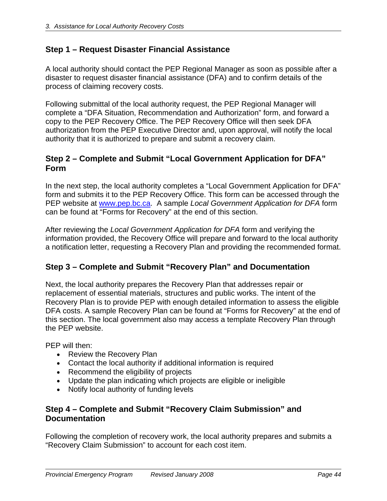# **Step 1 – Request Disaster Financial Assistance**

A local authority should contact the PEP Regional Manager as soon as possible after a disaster to request disaster financial assistance (DFA) and to confirm details of the process of claiming recovery costs.

Following submittal of the local authority request, the PEP Regional Manager will complete a "DFA Situation, Recommendation and Authorization" form, and forward a copy to the PEP Recovery Office. The PEP Recovery Office will then seek DFA authorization from the PEP Executive Director and, upon approval, will notify the local authority that it is authorized to prepare and submit a recovery claim.

# **Step 2 – Complete and Submit "Local Government Application for DFA" Form**

In the next step, the local authority completes a "Local Government Application for DFA" form and submits it to the PEP Recovery Office. This form can be accessed through the PEP website at [www.pep.bc.ca](http://www.pep.bc.ca/). A sample *Local Government Application for DFA* form can be found at "Forms for Recovery" at the end of this section.

After reviewing the *Local Government Application for DFA* form and verifying the information provided, the Recovery Office will prepare and forward to the local authority a notification letter, requesting a Recovery Plan and providing the recommended format.

# **Step 3 – Complete and Submit "Recovery Plan" and Documentation**

Next, the local authority prepares the Recovery Plan that addresses repair or replacement of essential materials, structures and public works. The intent of the Recovery Plan is to provide PEP with enough detailed information to assess the eligible DFA costs. A sample Recovery Plan can be found at "Forms for Recovery" at the end of this section. The local government also may access a template Recovery Plan through the PEP website.

PEP will then:

- Review the Recovery Plan
- Contact the local authority if additional information is required
- Recommend the eligibility of projects
- Update the plan indicating which projects are eligible or ineligible
- Notify local authority of funding levels

# **Step 4 – Complete and Submit "Recovery Claim Submission" and Documentation**

Following the completion of recovery work, the local authority prepares and submits a "Recovery Claim Submission" to account for each cost item.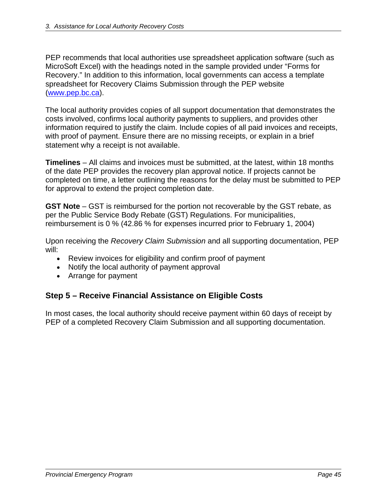PEP recommends that local authorities use spreadsheet application software (such as MicroSoft Excel) with the headings noted in the sample provided under "Forms for Recovery." In addition to this information, local governments can access a template spreadsheet for Recovery Claims Submission through the PEP website ([www.pep.bc.ca](http://www.pep.bc.ca/)).

The local authority provides copies of all support documentation that demonstrates the costs involved, confirms local authority payments to suppliers, and provides other information required to justify the claim. Include copies of all paid invoices and receipts, with proof of payment. Ensure there are no missing receipts, or explain in a brief statement why a receipt is not available.

**Timelines** – All claims and invoices must be submitted, at the latest, within 18 months of the date PEP provides the recovery plan approval notice. If projects cannot be completed on time, a letter outlining the reasons for the delay must be submitted to PEP for approval to extend the project completion date.

**GST Note** – GST is reimbursed for the portion not recoverable by the GST rebate, as per the Public Service Body Rebate (GST) Regulations. For municipalities, reimbursement is 0 % (42.86 % for expenses incurred prior to February 1, 2004)

Upon receiving the *Recovery Claim Submission* and all supporting documentation, PEP will:

- Review invoices for eligibility and confirm proof of payment
- Notify the local authority of payment approval
- Arrange for payment

# **Step 5 – Receive Financial Assistance on Eligible Costs**

In most cases, the local authority should receive payment within 60 days of receipt by PEP of a completed Recovery Claim Submission and all supporting documentation.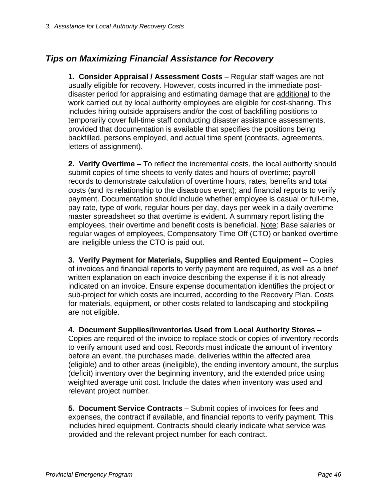# *Tips on Maximizing Financial Assistance for Recovery*

**1. Consider Appraisal / Assessment Costs** – Regular staff wages are not usually eligible for recovery. However, costs incurred in the immediate postdisaster period for appraising and estimating damage that are additional to the work carried out by local authority employees are eligible for cost-sharing. This includes hiring outside appraisers and/or the cost of backfilling positions to temporarily cover full-time staff conducting disaster assistance assessments, provided that documentation is available that specifies the positions being backfilled, persons employed, and actual time spent (contracts, agreements, letters of assignment).

**2. Verify Overtime** – To reflect the incremental costs, the local authority should submit copies of time sheets to verify dates and hours of overtime; payroll records to demonstrate calculation of overtime hours, rates, benefits and total costs (and its relationship to the disastrous event); and financial reports to verify payment. Documentation should include whether employee is casual or full-time, pay rate, type of work, regular hours per day, days per week in a daily overtime master spreadsheet so that overtime is evident. A summary report listing the employees, their overtime and benefit costs is beneficial. Note: Base salaries or regular wages of employees, Compensatory Time Off (CTO) or banked overtime are ineligible unless the CTO is paid out.

**3. Verify Payment for Materials, Supplies and Rented Equipment** – Copies of invoices and financial reports to verify payment are required, as well as a brief written explanation on each invoice describing the expense if it is not already indicated on an invoice. Ensure expense documentation identifies the project or sub-project for which costs are incurred, according to the Recovery Plan. Costs for materials, equipment, or other costs related to landscaping and stockpiling are not eligible.

**4. Document Supplies/Inventories Used from Local Authority Stores** – Copies are required of the invoice to replace stock or copies of inventory records to verify amount used and cost. Records must indicate the amount of inventory before an event, the purchases made, deliveries within the affected area (eligible) and to other areas (ineligible), the ending inventory amount, the surplus (deficit) inventory over the beginning inventory, and the extended price using weighted average unit cost. Include the dates when inventory was used and relevant project number.

**5. Document Service Contracts** – Submit copies of invoices for fees and expenses, the contract if available, and financial reports to verify payment. This includes hired equipment. Contracts should clearly indicate what service was provided and the relevant project number for each contract.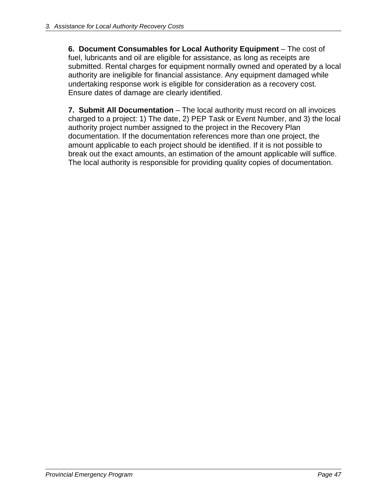**6. Document Consumables for Local Authority Equipment** – The cost of fuel, lubricants and oil are eligible for assistance, as long as receipts are submitted. Rental charges for equipment normally owned and operated by a local authority are ineligible for financial assistance. Any equipment damaged while undertaking response work is eligible for consideration as a recovery cost. Ensure dates of damage are clearly identified.

**7. Submit All Documentation** – The local authority must record on all invoices charged to a project: 1) The date, 2) PEP Task or Event Number, and 3) the local authority project number assigned to the project in the Recovery Plan documentation. If the documentation references more than one project, the amount applicable to each project should be identified. If it is not possible to break out the exact amounts, an estimation of the amount applicable will suffice. The local authority is responsible for providing quality copies of documentation.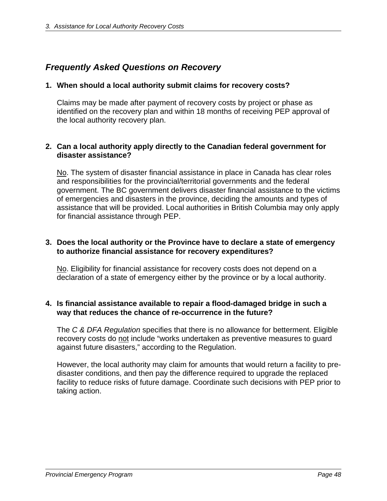# *Frequently Asked Questions on Recovery*

# **1. When should a local authority submit claims for recovery costs?**

Claims may be made after payment of recovery costs by project or phase as identified on the recovery plan and within 18 months of receiving PEP approval of the local authority recovery plan.

# **2. Can a local authority apply directly to the Canadian federal government for disaster assistance?**

No. The system of disaster financial assistance in place in Canada has clear roles and responsibilities for the provincial/territorial governments and the federal government. The BC government delivers disaster financial assistance to the victims of emergencies and disasters in the province, deciding the amounts and types of assistance that will be provided. Local authorities in British Columbia may only apply for financial assistance through PEP.

## **3. Does the local authority or the Province have to declare a state of emergency to authorize financial assistance for recovery expenditures?**

No. Eligibility for financial assistance for recovery costs does not depend on a declaration of a state of emergency either by the province or by a local authority.

## **4. Is financial assistance available to repair a flood-damaged bridge in such a way that reduces the chance of re-occurrence in the future?**

The *C & DFA Regulation* specifies that there is no allowance for betterment. Eligible recovery costs do not include "works undertaken as preventive measures to guard against future disasters," according to the Regulation.

However, the local authority may claim for amounts that would return a facility to predisaster conditions, and then pay the difference required to upgrade the replaced facility to reduce risks of future damage. Coordinate such decisions with PEP prior to taking action.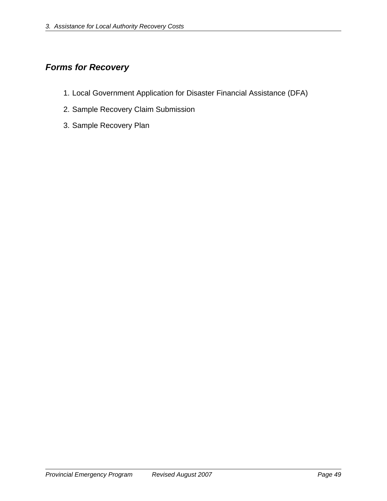# *Forms for Recovery*

- 1. Local Government Application for Disaster Financial Assistance (DFA)
- 2. Sample Recovery Claim Submission
- 3. Sample Recovery Plan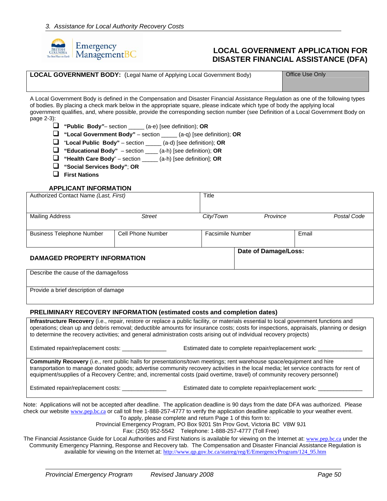

## **LOCAL GOVERNMENT APPLICATION FOR DISASTER FINANCIAL ASSISTANCE (DFA)**

|  | <b>LOCAL GOVERNMENT BODY:</b> (Legal Name of Applying Local Government Body) |
|--|------------------------------------------------------------------------------|
|--|------------------------------------------------------------------------------|

**Office Use Only** 

A Local Government Body is defined in the Compensation and Disaster Financial Assistance Regulation as one of the following types of bodies. By placing a check mark below in the appropriate square, please indicate which type of body the applying local government qualifies, and, where possible, provide the corresponding section number (see Definition of a Local Government Body on page 2-3):

**"Public Body***"–* section \_\_\_\_\_ (a-e) [see definition); **OR**

**"Local Government Body"** – section \_\_\_\_\_ (a-q) [see definition); **OR**

- "**Local Public Body"** section \_\_\_\_\_ (a-d) [see definition); **OR**
- **"Educational Body"** section \_\_\_\_ (a-h) [see definition); **OR**
- **"Health Care Body**" section \_\_\_\_\_ (a-h) [see definition]; **OR**
- **"Social Services Body"**; **OR**
- **First Nations**

#### **APPLICANT INFORMATION**

| Authorized Contact Name (Last, First)   | Title                   |                       |                      |             |
|-----------------------------------------|-------------------------|-----------------------|----------------------|-------------|
| <b>Mailing Address</b><br><b>Street</b> |                         | City/Town<br>Province |                      | Postal Code |
| <b>Business Telephone Number</b>        | <b>Facsimile Number</b> |                       | Email                |             |
| <b>DAMAGED PROPERTY INFORMATION</b>     |                         |                       | Date of Damage/Loss: |             |
| Describe the cause of the damage/loss   |                         |                       |                      |             |

Provide a brief description of damage

#### **PRELIMINARY RECOVERY INFORMATION (estimated costs and completion dates)**

**Infrastructure Recovery** (i.e., repair, restore or replace a public facility, or materials essential to local government functions and operations; clean up and debris removal; deductible amounts for insurance costs; costs for inspections, appraisals, planning or design to determine the recovery activities; and general administration costs arising out of individual recovery projects)

Estimated repair/replacement costs: \_\_\_\_\_\_\_\_\_\_\_\_\_\_\_\_\_\_\_\_ Estimated date to complete repair/replacement work: \_

**Community Recovery** (i.e., rent public halls for presentations/town meetings; rent warehouse space/equipment and hire transportation to manage donated goods; advertise community recovery activities in the local media; let service contracts for rent of equipment/supplies of a Recovery Centre; and, incremental costs (paid overtime, travel) of community recovery personnel)

Estimated repair/replacement costs: \_\_\_\_\_\_\_\_\_\_\_\_\_\_\_\_\_\_\_\_\_\_ Estimated date to complete repair/replacement work:

Note: Applications will not be accepted after deadline. The application deadline is 90 days from the date DFA was authorized. Please check our website [www.pep.bc.ca](http://www.pep.bc.ca/) or call toll free 1-888-257-4777 to verify the application deadline applicable to your weather event. To apply, please complete and return Page 1 of this form to:

Provincial Emergency Program, PO Box 9201 Stn Prov Govt, Victoria BC V8W 9J1

Fax: (250) 952-5542 Telephone: 1-888-257-4777 (Toll Free)

The Financial Assistance Guide for Local Authorities and First Nations is available for viewing on the Internet at: [www.pep.bc.ca](http://www.pep.bc.ca/) under the Community Emergency Planning, Response and Recovery tab. The Compensation and Disaster Financial Assistance Regulation is available for viewing on the Internet at: [http://www.qp.gov.bc.ca/statreg/reg/E/EmergencyProgram/124\\_95.htm](http://www.qp.gov.bc.ca/statreg/reg/E/EmergencyProgram/124_95.htm)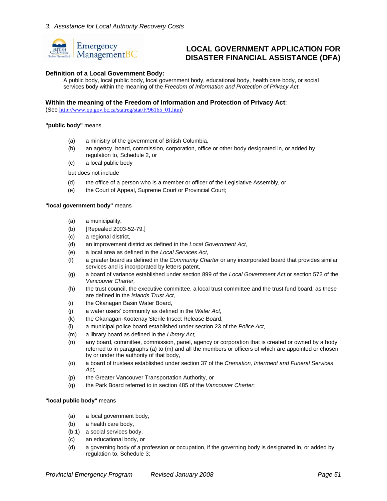

# **LOCAL GOVERNMENT APPLICATION FOR DISASTER FINANCIAL ASSISTANCE (DFA)**

#### **Definition of a Local Government Body:**

A public body, local public body, local government body, educational body, health care body, or social services body within the meaning of the *Freedom of Information and Protection of Privacy Act*.

#### **Within the meaning of the Freedom of Information and Protection of Privacy Act**:

(See [http://www.qp.gov.bc.ca/statreg/stat/F/96165\\_01.htm](http://www.qp.gov.bc.ca/statreg/stat/F/96165_01.htm))

#### **"public body"** means

- (a) a ministry of the government of British Columbia,
- (b) an agency, board, commission, corporation, office or other body designated in, or added by regulation to, Schedule 2, or
- (c) a local public body

but does not include

- (d) the office of a person who is a member or officer of the Legislative Assembly, or
- (e) the Court of Appeal, Supreme Court or Provincial Court;

#### **"local government body"** means

- (a) a municipality,
- (b) [Repealed 2003-52-79.]
- (c) a regional district,
- (d) an improvement district as defined in the *Local Government Act,*
- (e) a local area as defined in the *Local Services Act,*
- (f) a greater board as defined in the *Community Charter* or any incorporated board that provides similar services and is incorporated by letters patent,
- (g) a board of variance established under section 899 of the *Local Government Act* or section 572 of the *Vancouver Charter,*
- (h) the trust council, the executive committee, a local trust committee and the trust fund board, as these are defined in the *Islands Trust Act,*
- (i) the Okanagan Basin Water Board,
- (j) a water users' community as defined in the *Water Act,*
- (k) the Okanagan-Kootenay Sterile Insect Release Board,
- (l) a municipal police board established under section 23 of the *Police Act,*
- (m) a library board as defined in the *Library Act,*
- (n) any board, committee, commission, panel, agency or corporation that is created or owned by a body referred to in paragraphs (a) to (m) and all the members or officers of which are appointed or chosen by or under the authority of that body,
- (o) a board of trustees established under section 37 of the *Cremation, Interment and Funeral Services Act,*
- (p) the Greater Vancouver Transportation Authority, or
- (q) the Park Board referred to in section 485 of the *Vancouver Charter*;

#### **"local public body"** means

- (a) a local government body,
- (b) a health care body,
- (b.1) a social services body,
- (c) an educational body, or
- (d) a governing body of a profession or occupation, if the governing body is designated in, or added by regulation to, Schedule 3;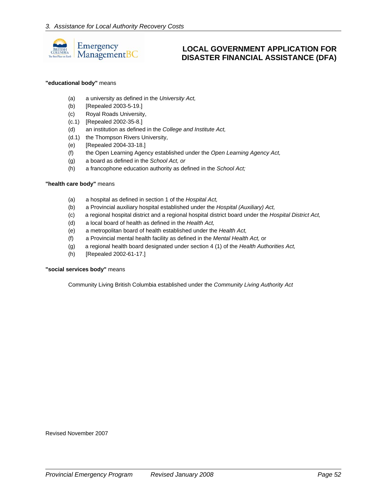

# **LOCAL GOVERNMENT APPLICATION FOR DISASTER FINANCIAL ASSISTANCE (DFA)**

#### **"educational body"** means

- (a) a university as defined in the *University Act,*
- (b) [Repealed 2003-5-19.]
- (c) Royal Roads University,
- (c.1) [Repealed 2002-35-8.]
- (d) an institution as defined in the *College and Institute Act,*
- (d.1) the Thompson Rivers University,
- (e) [Repealed 2004-33-18.]
- (f) the Open Learning Agency established under the *Open Learning Agency Act,*
- (g) a board as defined in the *School Act, or*
- (h) a francophone education authority as defined in the *School Act;*

#### **"health care body"** means

- (a) a hospital as defined in section 1 of the *Hospital Act,*
- (b) a Provincial auxiliary hospital established under the *Hospital (Auxiliary) Act,*
- (c) a regional hospital district and a regional hospital district board under the *Hospital District Act,*
- (d) a local board of health as defined in the *Health Act,*
- (e) a metropolitan board of health established under the *Health Act,*
- (f) a Provincial mental health facility as defined in the *Mental Health Act,* or
- (g) a regional health board designated under section 4 (1) of the *Health Authorities Act,*
- (h) [Repealed 2002-61-17.]

#### **"social services body"** means

Community Living British Columbia established under the *Community Living Authority Act* 

Revised November 2007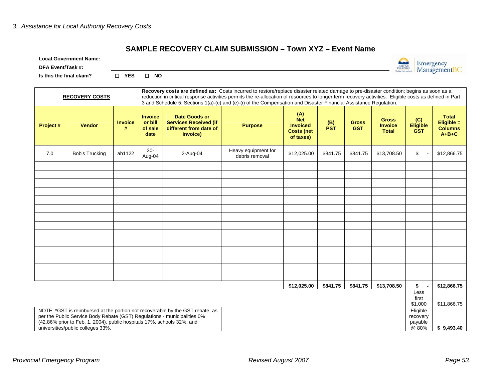#### **SAMPLE RECOVERY CLAIM SUBMISSION – Town XYZ – Event Name**

|  | <b>Local Government Name:</b> |  |
|--|-------------------------------|--|
|--|-------------------------------|--|

**DFA Event/Task #:** 

**Is this the final claim? YES NO**

| <b>RECOVERY COSTS</b> |                       |                     |                                              | Recovery costs are defined as: Costs incurred to restore/replace disaster related damage to pre-disaster condition; begins as soon as a<br>reduction in critical response activities permits the re-allocation of resources to longer term recovery activities. Eligible costs as defined in Part<br>3 and Schedule 5, Sections 1(a)-(c) and (e)-(i) of the Compensation and Disaster Financial Assistance Regulation. |                                       |                                                                         |                   |                            |                                                |                                      |                                                         |
|-----------------------|-----------------------|---------------------|----------------------------------------------|------------------------------------------------------------------------------------------------------------------------------------------------------------------------------------------------------------------------------------------------------------------------------------------------------------------------------------------------------------------------------------------------------------------------|---------------------------------------|-------------------------------------------------------------------------|-------------------|----------------------------|------------------------------------------------|--------------------------------------|---------------------------------------------------------|
| Project #             | <b>Vendor</b>         | <b>Invoice</b><br># | <b>Invoice</b><br>or bill<br>of sale<br>date | <b>Date Goods or</b><br><b>Services Received (if</b><br>different from date of<br>invoice)                                                                                                                                                                                                                                                                                                                             | <b>Purpose</b>                        | (A)<br><b>Net</b><br><b>Invoiced</b><br><b>Costs (net)</b><br>of taxes) | (B)<br><b>PST</b> | <b>Gross</b><br><b>GST</b> | <b>Gross</b><br><b>Invoice</b><br><b>Total</b> | (C)<br><b>Eligible</b><br><b>GST</b> | <b>Total</b><br>Eligible =<br><b>Columns</b><br>$A+B+C$ |
| 7.0                   | <b>Bob's Trucking</b> | ab1122              | $30-$<br>Aug-04                              | 2-Aug-04                                                                                                                                                                                                                                                                                                                                                                                                               | Heavy equipment for<br>debris removal | \$12,025.00                                                             | \$841.75          | \$841.75                   | \$13,708.50                                    | \$                                   | \$12,866.75                                             |
|                       |                       |                     |                                              |                                                                                                                                                                                                                                                                                                                                                                                                                        |                                       |                                                                         |                   |                            |                                                |                                      |                                                         |
|                       |                       |                     |                                              |                                                                                                                                                                                                                                                                                                                                                                                                                        |                                       |                                                                         |                   |                            |                                                |                                      |                                                         |
|                       |                       |                     |                                              |                                                                                                                                                                                                                                                                                                                                                                                                                        |                                       |                                                                         |                   |                            |                                                |                                      |                                                         |
|                       |                       |                     |                                              |                                                                                                                                                                                                                                                                                                                                                                                                                        |                                       |                                                                         |                   |                            |                                                |                                      |                                                         |
|                       |                       |                     |                                              |                                                                                                                                                                                                                                                                                                                                                                                                                        |                                       |                                                                         |                   |                            |                                                |                                      |                                                         |
|                       |                       |                     |                                              |                                                                                                                                                                                                                                                                                                                                                                                                                        |                                       |                                                                         |                   |                            |                                                |                                      |                                                         |
|                       |                       |                     |                                              |                                                                                                                                                                                                                                                                                                                                                                                                                        |                                       |                                                                         |                   |                            |                                                |                                      |                                                         |
|                       |                       |                     |                                              |                                                                                                                                                                                                                                                                                                                                                                                                                        |                                       |                                                                         |                   |                            |                                                |                                      |                                                         |
|                       |                       |                     |                                              |                                                                                                                                                                                                                                                                                                                                                                                                                        |                                       |                                                                         |                   |                            |                                                |                                      |                                                         |
|                       |                       |                     |                                              |                                                                                                                                                                                                                                                                                                                                                                                                                        |                                       |                                                                         |                   |                            |                                                |                                      |                                                         |
|                       |                       |                     |                                              |                                                                                                                                                                                                                                                                                                                                                                                                                        |                                       |                                                                         |                   |                            |                                                |                                      |                                                         |
|                       |                       |                     |                                              |                                                                                                                                                                                                                                                                                                                                                                                                                        |                                       |                                                                         |                   |                            |                                                |                                      |                                                         |
|                       |                       |                     |                                              |                                                                                                                                                                                                                                                                                                                                                                                                                        |                                       |                                                                         |                   |                            |                                                |                                      |                                                         |
|                       |                       |                     |                                              |                                                                                                                                                                                                                                                                                                                                                                                                                        |                                       | \$12,025.00                                                             | \$841.75          | \$841.75                   | \$13,708.50                                    | \$                                   | \$12,866.75                                             |
|                       |                       |                     |                                              |                                                                                                                                                                                                                                                                                                                                                                                                                        |                                       |                                                                         |                   |                            |                                                | Less<br>first                        |                                                         |
|                       |                       |                     |                                              |                                                                                                                                                                                                                                                                                                                                                                                                                        |                                       |                                                                         |                   |                            |                                                | \$1,000                              | \$11,866.75                                             |
|                       |                       |                     |                                              | NOTE: *GST is reimbursed at the portion not recoverable by the GST rebate, as                                                                                                                                                                                                                                                                                                                                          |                                       |                                                                         |                   |                            |                                                | Eligible                             |                                                         |

NOTE: \*GST is reimbursed at the portion not recoverable by the GST rebate, as per the Public Service Body Rebate (GST) Regulations - municipalities 0% (42.86% prior to Feb. 1, 2004), public hospitals 17%, schools 32%, and universities/public colleges 33%.

@ 80% **\$ 9,493.40** 

Emergency<br>ManagementBC

BRITISH

recovery payable<br>@ 80%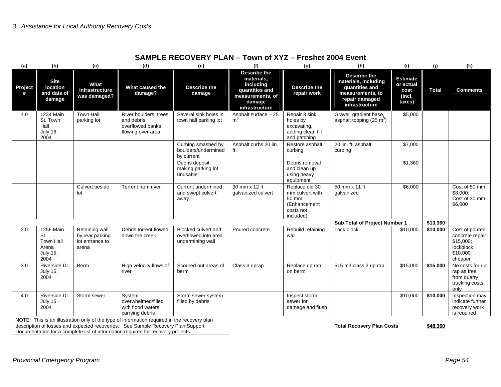| (a)          | (b)                                                                      | (c)                                                           | (d)                                                                                                                                                                                                                                                                | (e)                                                             | (f)                                                                                                       | (g)                                                                                   | (h)                                                                                                                                                                        | (i)      | (j)          | (k)                                                                                |
|--------------|--------------------------------------------------------------------------|---------------------------------------------------------------|--------------------------------------------------------------------------------------------------------------------------------------------------------------------------------------------------------------------------------------------------------------------|-----------------------------------------------------------------|-----------------------------------------------------------------------------------------------------------|---------------------------------------------------------------------------------------|----------------------------------------------------------------------------------------------------------------------------------------------------------------------------|----------|--------------|------------------------------------------------------------------------------------|
| Project<br># | <b>Site</b><br>location<br>and date of<br>damage                         | What<br>infrastructure<br>was damaged?                        | What caused the<br>damage?                                                                                                                                                                                                                                         | <b>Describe the</b><br>damage                                   | Describe the<br>materials,<br>including<br>quantities and<br>measurements, of<br>damage<br>infrastructure | <b>Describe the</b><br>repair work                                                    | Describe the<br><b>Estimate</b><br>materials, including<br>or actual<br>quantities and<br>cost<br>measurements, to<br>(incl.<br>repair damaged<br>taxes)<br>infrastructure |          | <b>Total</b> | <b>Comments</b>                                                                    |
| 1.0          | 1234 Main<br>St. Town<br>Hall<br><b>July 16,</b><br>2004                 | <b>Town Hall</b><br>parking lot                               | River boulders, trees<br>and debris<br>overflowed banks<br>flowing over area                                                                                                                                                                                       | Several sink holes in<br>town hall parking lot                  | Asphalt surface - 25<br>m <sup>3</sup>                                                                    | Repair 3 sink<br>holes by<br>excavating,<br>adding clean fill<br>and patching         | Gravel, gradient base,<br>asphalt topping $(25 \text{ m}^3)$                                                                                                               | \$5,000  |              |                                                                                    |
|              |                                                                          |                                                               |                                                                                                                                                                                                                                                                    | Curbing smashed by<br>boulders/undermined<br>by current         | Asphalt curbs 20 lin.<br>ft.                                                                              | Restore asphalt<br>curbing                                                            | 20 lin. ft. asphalt<br>curbing                                                                                                                                             | \$7,000  |              |                                                                                    |
|              |                                                                          |                                                               |                                                                                                                                                                                                                                                                    | Debris deposit<br>making parking lot<br>unusable                |                                                                                                           | Debris removal<br>and clean up<br>using heavy<br>equipment                            |                                                                                                                                                                            | \$1,360  |              |                                                                                    |
|              |                                                                          | Culvert beside<br>lot                                         | Torrent from river                                                                                                                                                                                                                                                 | <b>Current undermined</b><br>and swept culvert<br>away          | 30 mm x 12 ft<br>galvanized culvert                                                                       | Replace old 30<br>mm culvert with<br>50 mm.<br>(Enhancement<br>costs not<br>included) | 50 mm x 11 ft.<br>galvanized                                                                                                                                               | \$6,000  |              | Cost of 50 mm<br>\$8,000;<br>Cost of 30 mm<br>\$6,000                              |
|              |                                                                          |                                                               |                                                                                                                                                                                                                                                                    |                                                                 |                                                                                                           |                                                                                       | Sub Total of Project Number 1                                                                                                                                              |          | \$13,360     |                                                                                    |
| 2.0          | 1256 Main<br>St.<br><b>Town Hall</b><br>Arena<br><b>July 15,</b><br>2004 | Retaining wall<br>by rear parking<br>lot entrance to<br>arena | Debris torrent flowed<br>down the creek                                                                                                                                                                                                                            | Blocked culvert and<br>overflowed into area<br>undermining wall | Poured concrete                                                                                           | Rebuild retaining<br>wall                                                             | Lock block                                                                                                                                                                 | \$10,000 | \$10,000     | Cost of poured<br>concrete repair<br>\$15,000;<br>lockblock<br>\$10,000<br>cheaper |
| 3.0          | Riverside Dr.<br><b>July 15,</b><br>2004                                 | <b>Berm</b>                                                   | High velocity flows of<br>river                                                                                                                                                                                                                                    | Scoured out areas of<br>berm                                    | Class 3 riprap                                                                                            | Replace rip rap<br>on berm                                                            | 515 m3 class 3 rip rap                                                                                                                                                     | \$15,000 | \$15,000     | No costs for rip<br>rap as free<br>from quarry;<br>trucking costs<br>only          |
| 4.0          | Riverside Dr.<br><b>July 15,</b><br>2004                                 | Storm sewer                                                   | System<br>overwhelmed/filled<br>with flood waters<br>carrying debris                                                                                                                                                                                               | Storm sewer system<br>filled by debris                          |                                                                                                           | Inspect storm<br>sewer for<br>damage and flush                                        |                                                                                                                                                                            | \$10,000 | \$10,000     | Inspection may<br>indicate further<br>recovery work<br>is required                 |
|              |                                                                          |                                                               | NOTE: This is an illustration only of the type of information required in the recovery plan<br>description of losses and expected recoveries. See Sample Recovery Plan Support<br>Documentation for a complete list of information required for recovery projects. |                                                                 |                                                                                                           |                                                                                       | <b>Total Recovery Plan Costs</b>                                                                                                                                           |          | \$48,360     |                                                                                    |

# **SAMPLE RECOVERY PLAN – Town of XYZ – Freshet 2004 Event**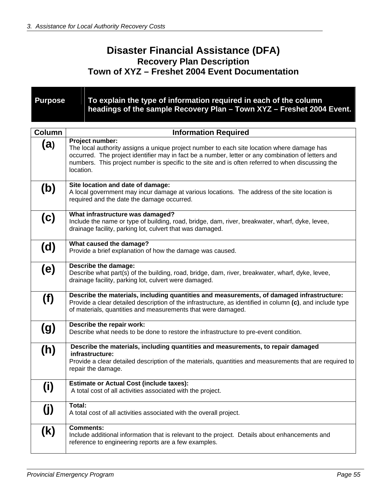# **Disaster Financial Assistance (DFA) Recovery Plan Description Town of XYZ – Freshet 2004 Event Documentation**

**Purpose** To explain the type of information required in each of the column **headings of the sample Recovery Plan – Town XYZ – Freshet 2004 Event.**

| <b>Column</b> | <b>Information Required</b>                                                                                                                                                                                                                                                                                                           |
|---------------|---------------------------------------------------------------------------------------------------------------------------------------------------------------------------------------------------------------------------------------------------------------------------------------------------------------------------------------|
| (a)           | Project number:<br>The local authority assigns a unique project number to each site location where damage has<br>occurred. The project identifier may in fact be a number, letter or any combination of letters and<br>numbers. This project number is specific to the site and is often referred to when discussing the<br>location. |
| (b)           | Site location and date of damage:<br>A local government may incur damage at various locations. The address of the site location is<br>required and the date the damage occurred.                                                                                                                                                      |
| (c)           | What infrastructure was damaged?<br>Include the name or type of building, road, bridge, dam, river, breakwater, wharf, dyke, levee,<br>drainage facility, parking lot, culvert that was damaged.                                                                                                                                      |
| (d)           | What caused the damage?<br>Provide a brief explanation of how the damage was caused.                                                                                                                                                                                                                                                  |
| (e)           | Describe the damage:<br>Describe what part(s) of the building, road, bridge, dam, river, breakwater, wharf, dyke, levee,<br>drainage facility, parking lot, culvert were damaged.                                                                                                                                                     |
| (f)           | Describe the materials, including quantities and measurements, of damaged infrastructure:<br>Provide a clear detailed description of the infrastructure, as identified in column (c), and include type<br>of materials, quantities and measurements that were damaged.                                                                |
| (g)           | Describe the repair work:<br>Describe what needs to be done to restore the infrastructure to pre-event condition.                                                                                                                                                                                                                     |
| (h)           | Describe the materials, including quantities and measurements, to repair damaged<br>infrastructure:<br>Provide a clear detailed description of the materials, quantities and measurements that are required to<br>repair the damage.                                                                                                  |
| (i)           | <b>Estimate or Actual Cost (include taxes):</b><br>A total cost of all activities associated with the project.                                                                                                                                                                                                                        |
| (j)           | Total:<br>A total cost of all activities associated with the overall project.                                                                                                                                                                                                                                                         |
| (k)           | <b>Comments:</b><br>Include additional information that is relevant to the project. Details about enhancements and<br>reference to engineering reports are a few examples.                                                                                                                                                            |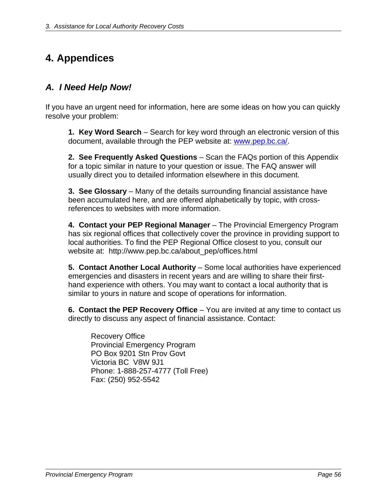# **4. Appendices**

# *A. I Need Help Now!*

If you have an urgent need for information, here are some ideas on how you can quickly resolve your problem:

**1. Key Word Search** – Search for key word through an electronic version of this document, available through the PEP website at: [www.pep.bc.ca/.](http://www.pep.bc.ca/)

**2. See Frequently Asked Questions** – Scan the FAQs portion of this Appendix for a topic similar in nature to your question or issue. The FAQ answer will usually direct you to detailed information elsewhere in this document.

**3. See Glossary** – Many of the details surrounding financial assistance have been accumulated here, and are offered alphabetically by topic, with crossreferences to websites with more information.

**4. Contact your PEP Regional Manager** – The Provincial Emergency Program has six regional offices that collectively cover the province in providing support to local authorities. To find the PEP Regional Office closest to you, consult our website at: http://www.pep.bc.ca/about\_pep/offices.html

**5. Contact Another Local Authority** – Some local authorities have experienced emergencies and disasters in recent years and are willing to share their firsthand experience with others. You may want to contact a local authority that is similar to yours in nature and scope of operations for information.

**6. Contact the PEP Recovery Office** – You are invited at any time to contact us directly to discuss any aspect of financial assistance. Contact:

Recovery Office Provincial Emergency Program PO Box 9201 Stn Prov Govt Victoria BC V8W 9J1 Phone: 1-888-257-4777 (Toll Free) Fax: (250) 952-5542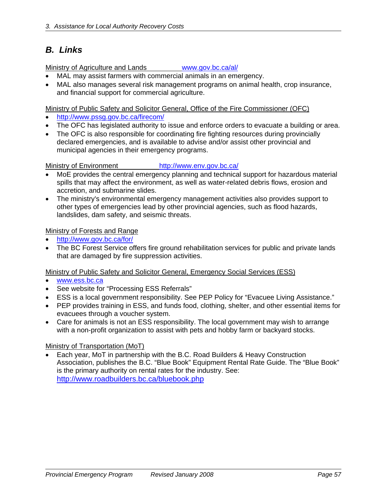# *B. Links*

Ministry of Agriculture and Lands [www.gov.bc.ca/al/](http://www.gov.bc.ca/al/)

- MAL may assist farmers with commercial animals in an emergency.
- MAL also manages several risk management programs on animal health, crop insurance, and financial support for commercial agriculture.

Ministry of Public Safety and Solicitor General, Office of the Fire Commissioner (OFC)

- <http://www.pssg.gov.bc.ca/firecom/>
- The OFC has legislated authority to issue and enforce orders to evacuate a building or area.
- The OFC is also responsible for coordinating fire fighting resources during provincially declared emergencies, and is available to advise and/or assist other provincial and municipal agencies in their emergency programs.

Ministry of Environment <http://www.env.gov.bc.ca/>

- MoE provides the central emergency planning and technical support for hazardous material spills that may affect the environment, as well as water-related debris flows, erosion and accretion, and submarine slides.
- The ministry's environmental emergency management activities also provides support to other types of emergencies lead by other provincial agencies, such as flood hazards, landslides, dam safety, and seismic threats.

Ministry of Forests and Range

- <http://www.gov.bc.ca/for/>
- The BC Forest Service offers fire ground rehabilitation services for public and private lands that are damaged by fire suppression activities.

Ministry of Public Safety and Solicitor General, Emergency Social Services (ESS)

- [www.ess.bc.ca](http://www.ess.bc.ca/)
- See website for "Processing ESS Referrals"
- ESS is a local government responsibility. See PEP Policy for "Evacuee Living Assistance."
- PEP provides training in ESS, and funds food, clothing, shelter, and other essential items for evacuees through a voucher system.
- Care for animals is not an ESS responsibility. The local government may wish to arrange with a non-profit organization to assist with pets and hobby farm or backyard stocks.

### Ministry of Transportation (MoT)

• Each year, MoT in partnership with the B.C. Road Builders & Heavy Construction Association, publishes the B.C. "Blue Book" Equipment Rental Rate Guide. The "Blue Book" is the primary authority on rental rates for the industry. See: <http://www.roadbuilders.bc.ca/bluebook.php>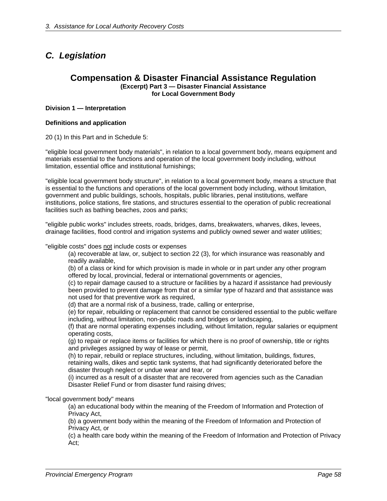# *C. Legislation*

#### **Compensation & Disaster Financial Assistance Regulation (Excerpt) Part 3 — Disaster Financial Assistance for Local Government Body**

#### **Division 1 — Interpretation**

#### **Definitions and application**

20 (1) In this Part and in Schedule 5:

"eligible local government body materials", in relation to a local government body, means equipment and materials essential to the functions and operation of the local government body including, without limitation, essential office and institutional furnishings;

"eligible local government body structure", in relation to a local government body, means a structure that is essential to the functions and operations of the local government body including, without limitation, government and public buildings, schools, hospitals, public libraries, penal institutions, welfare institutions, police stations, fire stations, and structures essential to the operation of public recreational facilities such as bathing beaches, zoos and parks;

"eligible public works" includes streets, roads, bridges, dams, breakwaters, wharves, dikes, levees, drainage facilities, flood control and irrigation systems and publicly owned sewer and water utilities;

"eligible costs" does not include costs or expenses

(a) recoverable at law, or, subject to section 22 (3), for which insurance was reasonably and readily available,

(b) of a class or kind for which provision is made in whole or in part under any other program offered by local, provincial, federal or international governments or agencies,

(c) to repair damage caused to a structure or facilities by a hazard if assistance had previously been provided to prevent damage from that or a similar type of hazard and that assistance was not used for that preventive work as required,

(d) that are a normal risk of a business, trade, calling or enterprise,

(e) for repair, rebuilding or replacement that cannot be considered essential to the public welfare including, without limitation, non-public roads and bridges or landscaping,

(f) that are normal operating expenses including, without limitation, regular salaries or equipment operating costs,

(g) to repair or replace items or facilities for which there is no proof of ownership, title or rights and privileges assigned by way of lease or permit,

(h) to repair, rebuild or replace structures, including, without limitation, buildings, fixtures, retaining walls, dikes and septic tank systems, that had significantly deteriorated before the disaster through neglect or undue wear and tear, or

(i) incurred as a result of a disaster that are recovered from agencies such as the Canadian Disaster Relief Fund or from disaster fund raising drives;

#### "local government body" means

(a) an educational body within the meaning of the Freedom of Information and Protection of Privacy Act,

(b) a government body within the meaning of the Freedom of Information and Protection of Privacy Act, or

(c) a health care body within the meaning of the Freedom of Information and Protection of Privacy Act;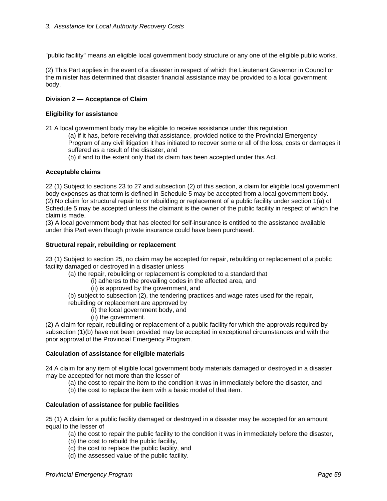"public facility" means an eligible local government body structure or any one of the eligible public works.

(2) This Part applies in the event of a disaster in respect of which the Lieutenant Governor in Council or the minister has determined that disaster financial assistance may be provided to a local government body.

#### **Division 2 — Acceptance of Claim**

#### **Eligibility for assistance**

21 A local government body may be eligible to receive assistance under this regulation

(a) if it has, before receiving that assistance, provided notice to the Provincial Emergency Program of any civil litigation it has initiated to recover some or all of the loss, costs or damages it suffered as a result of the disaster, and

(b) if and to the extent only that its claim has been accepted under this Act.

#### **Acceptable claims**

22 (1) Subject to sections 23 to 27 and subsection (2) of this section, a claim for eligible local government body expenses as that term is defined in Schedule 5 may be accepted from a local government body. (2) No claim for structural repair to or rebuilding or replacement of a public facility under section 1(a) of Schedule 5 may be accepted unless the claimant is the owner of the public facility in respect of which the claim is made.

(3) A local government body that has elected for self-insurance is entitled to the assistance available under this Part even though private insurance could have been purchased.

#### **Structural repair, rebuilding or replacement**

23 (1) Subject to section 25, no claim may be accepted for repair, rebuilding or replacement of a public facility damaged or destroyed in a disaster unless

(a) the repair, rebuilding or replacement is completed to a standard that

- (i) adheres to the prevailing codes in the affected area, and
	- (ii) is approved by the government, and
- (b) subject to subsection (2), the tendering practices and wage rates used for the repair,

rebuilding or replacement are approved by

(i) the local government body, and

(ii) the government.

(2) A claim for repair, rebuilding or replacement of a public facility for which the approvals required by subsection (1)(b) have not been provided may be accepted in exceptional circumstances and with the prior approval of the Provincial Emergency Program.

#### **Calculation of assistance for eligible materials**

24 A claim for any item of eligible local government body materials damaged or destroyed in a disaster may be accepted for not more than the lesser of

- (a) the cost to repair the item to the condition it was in immediately before the disaster, and
- (b) the cost to replace the item with a basic model of that item.

#### **Calculation of assistance for public facilities**

25 (1) A claim for a public facility damaged or destroyed in a disaster may be accepted for an amount equal to the lesser of

(a) the cost to repair the public facility to the condition it was in immediately before the disaster,

- (b) the cost to rebuild the public facility,
- (c) the cost to replace the public facility, and
- (d) the assessed value of the public facility.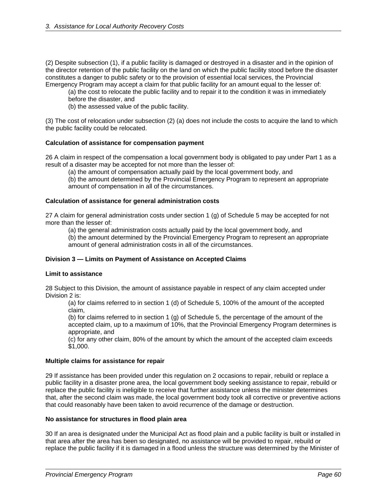(2) Despite subsection (1), if a public facility is damaged or destroyed in a disaster and in the opinion of the director retention of the public facility on the land on which the public facility stood before the disaster constitutes a danger to public safety or to the provision of essential local services, the Provincial Emergency Program may accept a claim for that public facility for an amount equal to the lesser of:

(a) the cost to relocate the public facility and to repair it to the condition it was in immediately before the disaster, and

(b) the assessed value of the public facility.

(3) The cost of relocation under subsection (2) (a) does not include the costs to acquire the land to which the public facility could be relocated.

#### **Calculation of assistance for compensation payment**

26 A claim in respect of the compensation a local government body is obligated to pay under Part 1 as a result of a disaster may be accepted for not more than the lesser of:

(a) the amount of compensation actually paid by the local government body, and

(b) the amount determined by the Provincial Emergency Program to represent an appropriate amount of compensation in all of the circumstances.

#### **Calculation of assistance for general administration costs**

27 A claim for general administration costs under section 1 (g) of Schedule 5 may be accepted for not more than the lesser of:

(a) the general administration costs actually paid by the local government body, and

(b) the amount determined by the Provincial Emergency Program to represent an appropriate amount of general administration costs in all of the circumstances.

#### **Division 3 — Limits on Payment of Assistance on Accepted Claims**

#### **Limit to assistance**

28 Subject to this Division, the amount of assistance payable in respect of any claim accepted under Division 2 is:

(a) for claims referred to in section 1 (d) of Schedule 5, 100% of the amount of the accepted claim,

(b) for claims referred to in section 1 (g) of Schedule 5, the percentage of the amount of the accepted claim, up to a maximum of 10%, that the Provincial Emergency Program determines is appropriate, and

(c) for any other claim, 80% of the amount by which the amount of the accepted claim exceeds \$1,000.

#### **Multiple claims for assistance for repair**

29 If assistance has been provided under this regulation on 2 occasions to repair, rebuild or replace a public facility in a disaster prone area, the local government body seeking assistance to repair, rebuild or replace the public facility is ineligible to receive that further assistance unless the minister determines that, after the second claim was made, the local government body took all corrective or preventive actions that could reasonably have been taken to avoid recurrence of the damage or destruction.

#### **No assistance for structures in flood plain area**

30 If an area is designated under the Municipal Act as flood plain and a public facility is built or installed in that area after the area has been so designated, no assistance will be provided to repair, rebuild or replace the public facility if it is damaged in a flood unless the structure was determined by the Minister of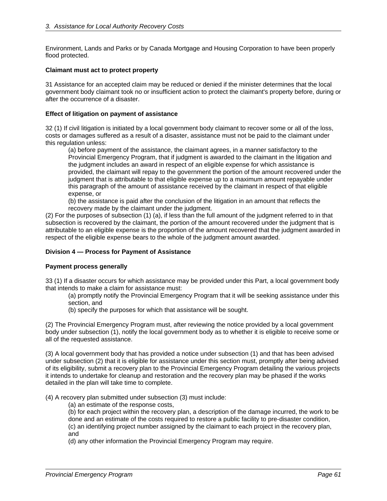Environment, Lands and Parks or by Canada Mortgage and Housing Corporation to have been properly flood protected.

#### **Claimant must act to protect property**

31 Assistance for an accepted claim may be reduced or denied if the minister determines that the local government body claimant took no or insufficient action to protect the claimant's property before, during or after the occurrence of a disaster.

#### **Effect of litigation on payment of assistance**

32 (1) If civil litigation is initiated by a local government body claimant to recover some or all of the loss, costs or damages suffered as a result of a disaster, assistance must not be paid to the claimant under this regulation unless:

(a) before payment of the assistance, the claimant agrees, in a manner satisfactory to the Provincial Emergency Program, that if judgment is awarded to the claimant in the litigation and the judgment includes an award in respect of an eligible expense for which assistance is provided, the claimant will repay to the government the portion of the amount recovered under the judgment that is attributable to that eligible expense up to a maximum amount repayable under this paragraph of the amount of assistance received by the claimant in respect of that eligible expense, or

(b) the assistance is paid after the conclusion of the litigation in an amount that reflects the recovery made by the claimant under the judgment.

(2) For the purposes of subsection (1) (a), if less than the full amount of the judgment referred to in that subsection is recovered by the claimant, the portion of the amount recovered under the judgment that is attributable to an eligible expense is the proportion of the amount recovered that the judgment awarded in respect of the eligible expense bears to the whole of the judgment amount awarded.

#### **Division 4 — Process for Payment of Assistance**

#### **Payment process generally**

33 (1) If a disaster occurs for which assistance may be provided under this Part, a local government body that intends to make a claim for assistance must:

(a) promptly notify the Provincial Emergency Program that it will be seeking assistance under this section, and

(b) specify the purposes for which that assistance will be sought.

(2) The Provincial Emergency Program must, after reviewing the notice provided by a local government body under subsection (1), notify the local government body as to whether it is eligible to receive some or all of the requested assistance.

(3) A local government body that has provided a notice under subsection (1) and that has been advised under subsection (2) that it is eligible for assistance under this section must, promptly after being advised of its eligibility, submit a recovery plan to the Provincial Emergency Program detailing the various projects it intends to undertake for cleanup and restoration and the recovery plan may be phased if the works detailed in the plan will take time to complete.

(4) A recovery plan submitted under subsection (3) must include:

(a) an estimate of the response costs,

(b) for each project within the recovery plan, a description of the damage incurred, the work to be done and an estimate of the costs required to restore a public facility to pre-disaster condition, (c) an identifying project number assigned by the claimant to each project in the recovery plan, and

(d) any other information the Provincial Emergency Program may require.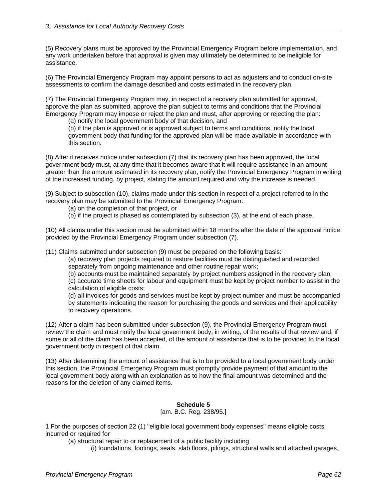(5) Recovery plans must be approved by the Provincial Emergency Program before implementation, and any work undertaken before that approval is given may ultimately be determined to be ineligible for assistance.

(6) The Provincial Emergency Program may appoint persons to act as adjusters and to conduct on-site assessments to confirm the damage described and costs estimated in the recovery plan.

(7) The Provincial Emergency Program may, in respect of a recovery plan submitted for approval, approve the plan as submitted, approve the plan subject to terms and conditions that the Provincial Emergency Program may impose or reject the plan and must, after approving or rejecting the plan:

(a) notify the local government body of that decision, and

(b) if the plan is approved or is approved subject to terms and conditions, notify the local government body that funding for the approved plan will be made available in accordance with this section.

(8) After it receives notice under subsection (7) that its recovery plan has been approved, the local government body must, at any time that it becomes aware that it will require assistance in an amount greater than the amount estimated in its recovery plan, notify the Provincial Emergency Program in writing of the increased funding, by project, stating the amount required and why the increase is needed.

(9) Subject to subsection (10), claims made under this section in respect of a project referred to in the recovery plan may be submitted to the Provincial Emergency Program:

(a) on the completion of that project, or

(b) if the project is phased as contemplated by subsection (3), at the end of each phase.

(10) All claims under this section must be submitted within 18 months after the date of the approval notice provided by the Provincial Emergency Program under subsection (7).

(11) Claims submitted under subsection (9) must be prepared on the following basis:

(a) recovery plan projects required to restore facilities must be distinguished and recorded separately from ongoing maintenance and other routine repair work;

(b) accounts must be maintained separately by project numbers assigned in the recovery plan;

(c) accurate time sheets for labour and equipment must be kept by project number to assist in the calculation of eligible costs;

(d) all invoices for goods and services must be kept by project number and must be accompanied by statements indicating the reason for purchasing the goods and services and their applicability to recovery operations.

(12) After a claim has been submitted under subsection (9), the Provincial Emergency Program must review the claim and must notify the local government body, in writing, of the results of that review and, if some or all of the claim has been accepted, of the amount of assistance that is to be provided to the local government body in respect of that claim.

(13) After determining the amount of assistance that is to be provided to a local government body under this section, the Provincial Emergency Program must promptly provide payment of that amount to the local government body along with an explanation as to how the final amount was determined and the reasons for the deletion of any claimed items.

#### **Schedule 5**

#### [am. B.C. Reg. 238/95.]

1 For the purposes of section 22 (1) "eligible local government body expenses" means eligible costs incurred or required for

(a) structural repair to or replacement of a public facility including

(i) foundations, footings, seals, slab floors, pilings, structural walls and attached garages,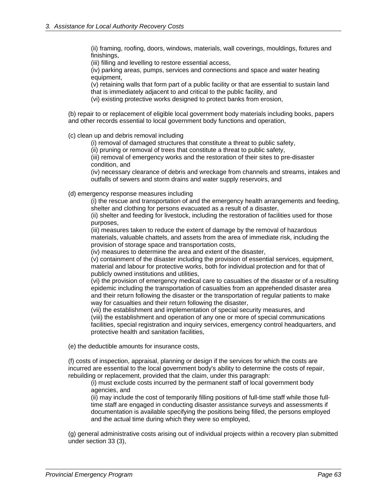(ii) framing, roofing, doors, windows, materials, wall coverings, mouldings, fixtures and finishings,

(iii) filling and levelling to restore essential access,

(iv) parking areas, pumps, services and connections and space and water heating equipment,

(v) retaining walls that form part of a public facility or that are essential to sustain land

that is immediately adjacent to and critical to the public facility, and

(vi) existing protective works designed to protect banks from erosion,

(b) repair to or replacement of eligible local government body materials including books, papers and other records essential to local government body functions and operation,

(c) clean up and debris removal including

(i) removal of damaged structures that constitute a threat to public safety,

(ii) pruning or removal of trees that constitute a threat to public safety,

(iii) removal of emergency works and the restoration of their sites to pre-disaster condition, and

(iv) necessary clearance of debris and wreckage from channels and streams, intakes and outfalls of sewers and storm drains and water supply reservoirs, and

(d) emergency response measures including

(i) the rescue and transportation of and the emergency health arrangements and feeding, shelter and clothing for persons evacuated as a result of a disaster,

(ii) shelter and feeding for livestock, including the restoration of facilities used for those purposes,

(iii) measures taken to reduce the extent of damage by the removal of hazardous materials, valuable chattels, and assets from the area of immediate risk, including the provision of storage space and transportation costs,

(iv) measures to determine the area and extent of the disaster,

(v) containment of the disaster including the provision of essential services, equipment, material and labour for protective works, both for individual protection and for that of publicly owned institutions and utilities,

(vi) the provision of emergency medical care to casualties of the disaster or of a resulting epidemic including the transportation of casualties from an apprehended disaster area and their return following the disaster or the transportation of regular patients to make way for casualties and their return following the disaster,

(vii) the establishment and implementation of special security measures, and

(viii) the establishment and operation of any one or more of special communications facilities, special registration and inquiry services, emergency control headquarters, and protective health and sanitation facilities,

(e) the deductible amounts for insurance costs,

(f) costs of inspection, appraisal, planning or design if the services for which the costs are incurred are essential to the local government body's ability to determine the costs of repair, rebuilding or replacement, provided that the claim, under this paragraph:

(i) must exclude costs incurred by the permanent staff of local government body agencies, and

(ii) may include the cost of temporarily filling positions of full-time staff while those fulltime staff are engaged in conducting disaster assistance surveys and assessments if documentation is available specifying the positions being filled, the persons employed and the actual time during which they were so employed,

(g) general administrative costs arising out of individual projects within a recovery plan submitted under section 33 (3),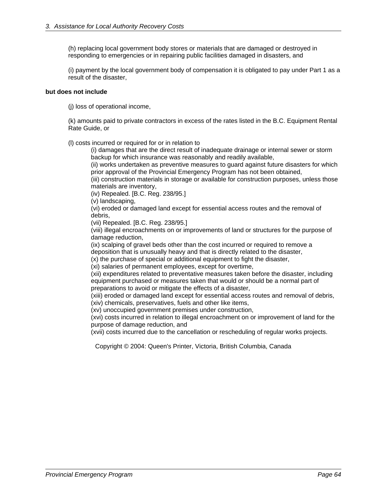(h) replacing local government body stores or materials that are damaged or destroyed in responding to emergencies or in repairing public facilities damaged in disasters, and

(i) payment by the local government body of compensation it is obligated to pay under Part 1 as a result of the disaster,

#### **but does not include**

(j) loss of operational income,

(k) amounts paid to private contractors in excess of the rates listed in the B.C. Equipment Rental Rate Guide, or

(l) costs incurred or required for or in relation to

(i) damages that are the direct result of inadequate drainage or internal sewer or storm backup for which insurance was reasonably and readily available,

(ii) works undertaken as preventive measures to guard against future disasters for which prior approval of the Provincial Emergency Program has not been obtained,

(iii) construction materials in storage or available for construction purposes, unless those materials are inventory,

(iv) Repealed. [B.C. Reg. 238/95.]

(v) landscaping,

(vi) eroded or damaged land except for essential access routes and the removal of debris,

(vii) Repealed. [B.C. Reg. 238/95.]

(viii) illegal encroachments on or improvements of land or structures for the purpose of damage reduction,

(ix) scalping of gravel beds other than the cost incurred or required to remove a deposition that is unusually heavy and that is directly related to the disaster,

(x) the purchase of special or additional equipment to fight the disaster,

(xi) salaries of permanent employees, except for overtime,

(xii) expenditures related to preventative measures taken before the disaster, including equipment purchased or measures taken that would or should be a normal part of preparations to avoid or mitigate the effects of a disaster,

(xiii) eroded or damaged land except for essential access routes and removal of debris, (xiv) chemicals, preservatives, fuels and other like items,

(xv) unoccupied government premises under construction,

(xvi) costs incurred in relation to illegal encroachment on or improvement of land for the purpose of damage reduction, and

(xvii) costs incurred due to the cancellation or rescheduling of regular works projects.

Copyright © 2004: Queen's Printer, Victoria, British Columbia, Canada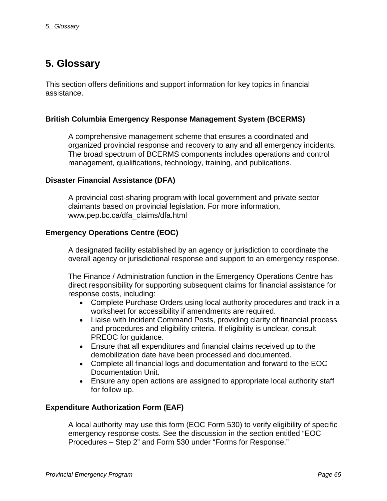# **5. Glossary**

This section offers definitions and support information for key topics in financial assistance.

# **British Columbia Emergency Response Management System (BCERMS)**

A comprehensive management scheme that ensures a coordinated and organized provincial response and recovery to any and all emergency incidents. The broad spectrum of BCERMS components includes operations and control management, qualifications, technology, training, and publications.

## **Disaster Financial Assistance (DFA)**

A provincial cost-sharing program with local government and private sector claimants based on provincial legislation. For more information, www.pep.bc.ca/dfa\_claims/dfa.html

## **Emergency Operations Centre (EOC)**

A designated facility established by an agency or jurisdiction to coordinate the overall agency or jurisdictional response and support to an emergency response.

The Finance / Administration function in the Emergency Operations Centre has direct responsibility for supporting subsequent claims for financial assistance for response costs, including:

- Complete Purchase Orders using local authority procedures and track in a worksheet for accessibility if amendments are required.
- Liaise with Incident Command Posts, providing clarity of financial process and procedures and eligibility criteria. If eligibility is unclear, consult PREOC for guidance.
- Ensure that all expenditures and financial claims received up to the demobilization date have been processed and documented.
- Complete all financial logs and documentation and forward to the EOC Documentation Unit.
- Ensure any open actions are assigned to appropriate local authority staff for follow up.

# **Expenditure Authorization Form (EAF)**

A local authority may use this form (EOC Form 530) to verify eligibility of specific emergency response costs. See the discussion in the section entitled "EOC Procedures – Step 2" and Form 530 under "Forms for Response."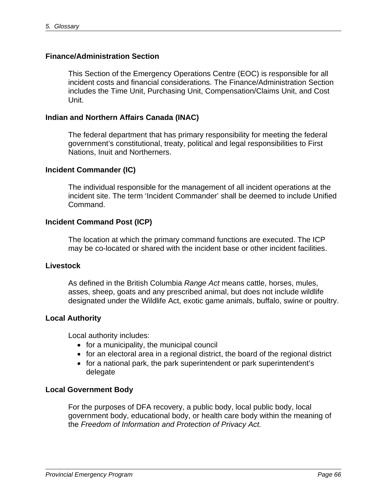## **Finance/Administration Section**

This Section of the Emergency Operations Centre (EOC) is responsible for all incident costs and financial considerations. The Finance/Administration Section includes the Time Unit, Purchasing Unit, Compensation/Claims Unit, and Cost Unit.

### **Indian and Northern Affairs Canada (INAC)**

The federal department that has primary responsibility for meeting the federal government's constitutional, treaty, political and legal responsibilities to First Nations, Inuit and Northerners.

### **Incident Commander (IC)**

The individual responsible for the management of all incident operations at the incident site. The term 'Incident Commander' shall be deemed to include Unified Command.

### **Incident Command Post (ICP)**

The location at which the primary command functions are executed. The ICP may be co-located or shared with the incident base or other incident facilities.

### **Livestock**

As defined in the British Columbia *Range Act* means cattle, horses, mules, asses, sheep, goats and any prescribed animal, but does not include wildlife designated under the Wildlife Act, exotic game animals, buffalo, swine or poultry.

### **Local Authority**

Local authority includes:

- for a municipality, the municipal council
- for an electoral area in a regional district, the board of the regional district
- for a national park, the park superintendent or park superintendent's delegate

### **Local Government Body**

For the purposes of DFA recovery, a public body, local public body, local government body, educational body, or health care body within the meaning of the *Freedom of Information and Protection of Privacy Act.*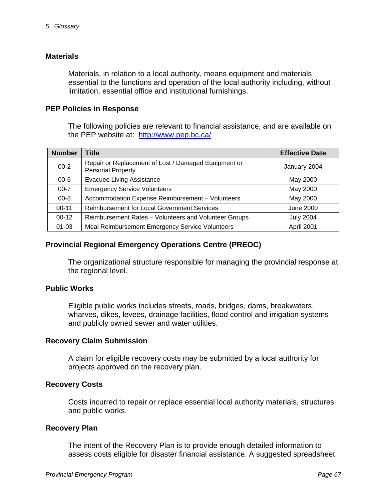## **Materials**

Materials, in relation to a local authority, means equipment and materials essential to the functions and operation of the local authority including, without limitation, essential office and institutional furnishings.

# **PEP Policies in Response**

The following policies are relevant to financial assistance, and are available on the PEP website at: <http://www.pep.bc.ca/>

| <b>Number</b> | <b>Title</b>                                                                     | <b>Effective Date</b> |
|---------------|----------------------------------------------------------------------------------|-----------------------|
| $00 - 2$      | Repair or Replacement of Lost / Damaged Equipment or<br><b>Personal Property</b> | January 2004          |
| $00 - 6$      | <b>Evacuee Living Assistance</b>                                                 | May 2000              |
| $00 - 7$      | <b>Emergency Service Volunteers</b>                                              | May 2000              |
| $00 - 8$      | Accommodation Expense Reimbursement - Volunteers                                 | May 2000              |
| $00 - 11$     | <b>Reimbursement for Local Government Services</b>                               | <b>June 2000</b>      |
| $00-12$       | Reimbursement Rates - Volunteers and Volunteer Groups                            | <b>July 2004</b>      |
| $01 - 03$     | Meal Reimbursement Emergency Service Volunteers                                  | April 2001            |

# **Provincial Regional Emergency Operations Centre (PREOC)**

The organizational structure responsible for managing the provincial response at the regional level.

## **Public Works**

Eligible public works includes streets, roads, bridges, dams, breakwaters, wharves, dikes, levees, drainage facilities, flood control and irrigation systems and publicly owned sewer and water utilities.

## **Recovery Claim Submission**

A claim for eligible recovery costs may be submitted by a local authority for projects approved on the recovery plan.

## **Recovery Costs**

Costs incurred to repair or replace essential local authority materials, structures and public works.

## **Recovery Plan**

The intent of the Recovery Plan is to provide enough detailed information to assess costs eligible for disaster financial assistance. A suggested spreadsheet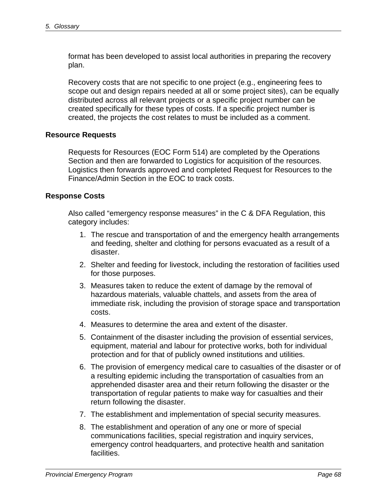format has been developed to assist local authorities in preparing the recovery plan.

Recovery costs that are not specific to one project (e.g., engineering fees to scope out and design repairs needed at all or some project sites), can be equally distributed across all relevant projects or a specific project number can be created specifically for these types of costs. If a specific project number is created, the projects the cost relates to must be included as a comment.

## **Resource Requests**

Requests for Resources (EOC Form 514) are completed by the Operations Section and then are forwarded to Logistics for acquisition of the resources. Logistics then forwards approved and completed Request for Resources to the Finance/Admin Section in the EOC to track costs.

## **Response Costs**

Also called "emergency response measures" in the C & DFA Regulation, this category includes:

- 1. The rescue and transportation of and the emergency health arrangements and feeding, shelter and clothing for persons evacuated as a result of a disaster.
- 2. Shelter and feeding for livestock, including the restoration of facilities used for those purposes.
- 3. Measures taken to reduce the extent of damage by the removal of hazardous materials, valuable chattels, and assets from the area of immediate risk, including the provision of storage space and transportation costs.
- 4. Measures to determine the area and extent of the disaster.
- 5. Containment of the disaster including the provision of essential services, equipment, material and labour for protective works, both for individual protection and for that of publicly owned institutions and utilities.
- 6. The provision of emergency medical care to casualties of the disaster or of a resulting epidemic including the transportation of casualties from an apprehended disaster area and their return following the disaster or the transportation of regular patients to make way for casualties and their return following the disaster.
- 7. The establishment and implementation of special security measures.
- 8. The establishment and operation of any one or more of special communications facilities, special registration and inquiry services, emergency control headquarters, and protective health and sanitation facilities.